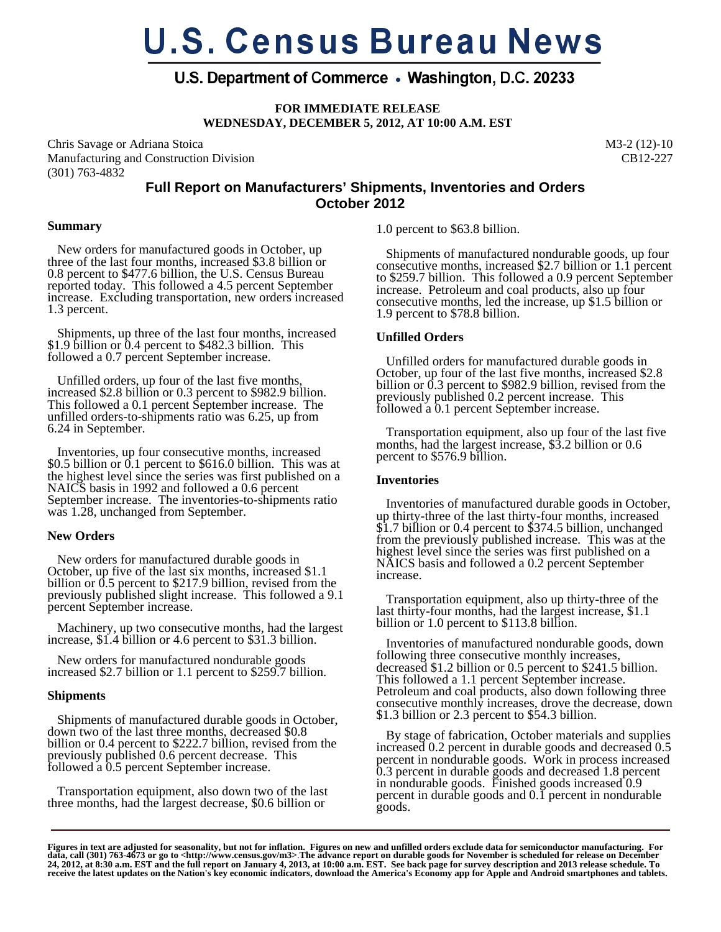# **U.S. Census Bureau News**

# U.S. Department of Commerce • Washington, D.C. 20233

**FOR IMMEDIATE RELEASE** 

**WEDNESDAY, DECEMBER 5, 2012, AT 10:00 A.M. EST** 

Chris Savage or Adriana Stoica Manufacturing and Construction Division (301) 763-4832

M3-2 (12)-10 CB12-227

# **Full Report on Manufacturers' Shipments, Inventories and Orders October 2012**

## **Summary**

 New orders for manufactured goods in October, up three of the last four months, increased \$3.8 billion or 0.8 percent to \$477.6 billion, the U.S. Census Bureau reported today. This followed a 4.5 percent September increase. Excluding transportation, new orders increased 1.3 percent.

 Shipments, up three of the last four months, increased \$1.9 billion or 0.4 percent to \$482.3 billion. This followed a 0.7 percent September increase.

 Unfilled orders, up four of the last five months, increased \$2.8 billion or 0.3 percent to \$982.9 billion. This followed a 0.1 percent September increase. The unfilled orders-to-shipments ratio was 6.25, up from 6.24 in September.

 Inventories, up four consecutive months, increased \$0.5 billion or 0.1 percent to \$616.0 billion. This was at the highest level since the series was first published on a NAICS basis in 1992 and followed a 0.6 percent September increase. The inventories-to-shipments ratio was 1.28, unchanged from September.

## **New Orders**

 New orders for manufactured durable goods in October, up five of the last six months, increased \$1.1 billion or 0.5 percent to \$217.9 billion, revised from the previously published slight increase. This followed a 9.1 percent September increase.

 Machinery, up two consecutive months, had the largest increase, \$1.4 billion or 4.6 percent to \$31.3 billion.

 New orders for manufactured nondurable goods increased \$2.7 billion or 1.1 percent to \$259.7 billion.

# **Shipments**

 Shipments of manufactured durable goods in October, down two of the last three months, decreased \$0.8 billion or 0.4 percent to \$222.7 billion, revised from the previously published 0.6 percent decrease. This followed a 0.5 percent September increase.

 Transportation equipment, also down two of the last three months, had the largest decrease, \$0.6 billion or

1.0 percent to \$63.8 billion.

 Shipments of manufactured nondurable goods, up four consecutive months, increased \$2.7 billion or 1.1 percent to \$259.7 billion. This followed a 0.9 percent September increase. Petroleum and coal products, also up four consecutive months, led the increase, up \$1.5 billion or 1.9 percent to \$78.8 billion.

# **Unfilled Orders**

 Unfilled orders for manufactured durable goods in October, up four of the last five months, increased \$2.8 billion or 0.3 percent to \$982.9 billion, revised from the previously published 0.2 percent increase. This followed a 0.1 percent September increase.

 Transportation equipment, also up four of the last five months, had the largest increase, \$3.2 billion or 0.6 percent to \$576.9 billion.

# **Inventories**

 Inventories of manufactured durable goods in October, up thirty-three of the last thirty-four months, increased \$1.7 billion or 0.4 percent to \$374.5 billion, unchanged from the previously published increase. This was at the highest level since the series was first published on a NAICS basis and followed a 0.2 percent September increase.

 Transportation equipment, also up thirty-three of the last thirty-four months, had the largest increase, \$1.1 billion or 1.0 percent to \$113.8 billion.

 Inventories of manufactured nondurable goods, down following three consecutive monthly increases, decreased \$1.2 billion or 0.5 percent to \$241.5 billion. This followed a 1.1 percent September increase. Petroleum and coal products, also down following three consecutive monthly increases, drove the decrease, down \$1.3 billion or 2.3 percent to \$54.3 billion.

 By stage of fabrication, October materials and supplies increased 0.2 percent in durable goods and decreased 0.5 percent in nondurable goods. Work in process increased 0.3 percent in durable goods and decreased 1.8 percent in nondurable goods. Finished goods increased 0.9 percent in durable goods and 0.1 percent in nondurable goods.

Figures in text are adjusted for seasonality, but not for inflation. Figures on new and unfilled orders exclude data for semiconductor manufacturing. For<br>data, call (301) 763-4673 or go to <http://www.census.gov/m3>.The ad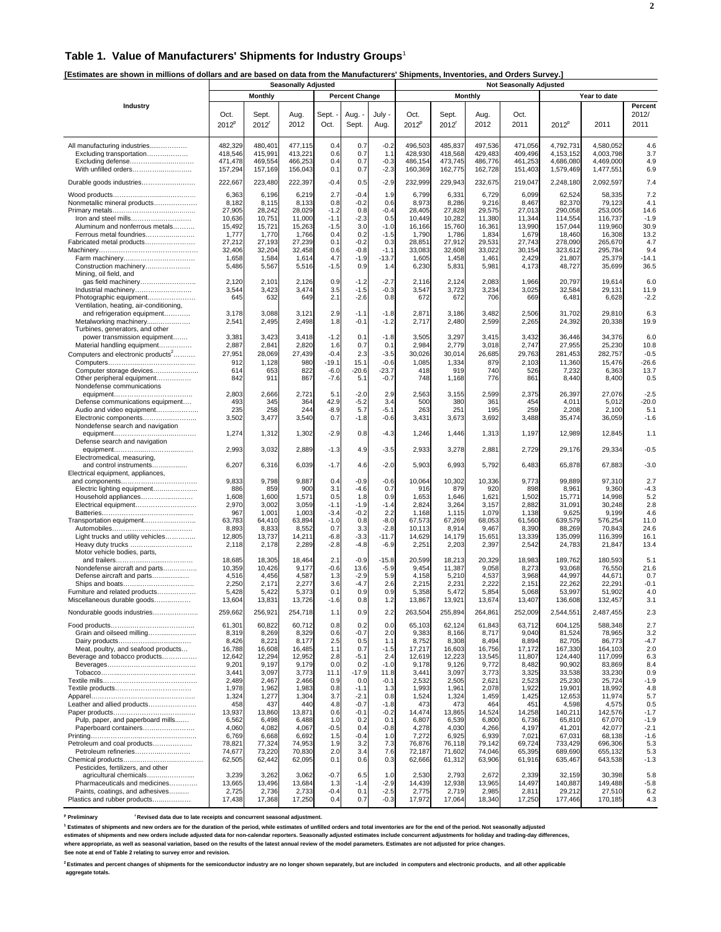#### **Table 1. Value of Manufacturers' Shipments for Industry Groups**<sup>1</sup>

**[Estimates are shown in millions of dollars and are based on data from the Manufacturers' Shipments, Inventories, and Orders Survey.]** 

|                                                                                                                                                                                                      |                                                                                             | <b>Seasonally Adjusted</b>                                                                  |                                                                                             |                                                                                |                                                                                      |                                                                                    | <b>Not Seasonally Adjusted</b>                                                              |                                                                                             |                                                                                             |                                                                                             |                                                                                                       |                                                                                                       |                                                                               |  |
|------------------------------------------------------------------------------------------------------------------------------------------------------------------------------------------------------|---------------------------------------------------------------------------------------------|---------------------------------------------------------------------------------------------|---------------------------------------------------------------------------------------------|--------------------------------------------------------------------------------|--------------------------------------------------------------------------------------|------------------------------------------------------------------------------------|---------------------------------------------------------------------------------------------|---------------------------------------------------------------------------------------------|---------------------------------------------------------------------------------------------|---------------------------------------------------------------------------------------------|-------------------------------------------------------------------------------------------------------|-------------------------------------------------------------------------------------------------------|-------------------------------------------------------------------------------|--|
|                                                                                                                                                                                                      |                                                                                             | Monthly                                                                                     |                                                                                             |                                                                                | <b>Percent Change</b>                                                                |                                                                                    |                                                                                             |                                                                                             | <b>Monthly</b>                                                                              |                                                                                             |                                                                                                       | Year to date                                                                                          |                                                                               |  |
| Industry                                                                                                                                                                                             | Oct.<br>$2012^p$                                                                            | Sept.<br>2012 <sup>r</sup>                                                                  | Aug.<br>2012                                                                                | Sept.<br>Oct.                                                                  | Aug. -<br>Sept.                                                                      | July -<br>Aug.                                                                     | Oct.<br>2012 <sup>p</sup>                                                                   | Sept.<br>2012 <sup>r</sup>                                                                  | Aug.<br>2012                                                                                | Oct.<br>2011                                                                                | $2012^p$                                                                                              | 2011                                                                                                  | Percent<br>2012/<br>2011                                                      |  |
| All manufacturing industries<br>Excluding transportation<br>Excluding defense<br>With unfilled orders                                                                                                | 482,329<br>418,546<br>471,478<br>157,294                                                    | 480,401<br>415,991<br>469,554<br>157,169                                                    | 477,115<br>413,221<br>466,253<br>156,043                                                    | 0.4<br>0.6<br>0.4<br>0.1                                                       | 0.7<br>0.7<br>0.7<br>0.7                                                             | $-0.2$<br>1.1<br>$-0.3$<br>$-2.3$                                                  | 496,503<br>428,930<br>486,154<br>160,369                                                    | 485,837<br>418.568<br>473,745<br>162,775                                                    | 497,536<br>429,483<br>486,776<br>162,728                                                    | 471,056<br>409,496<br>461,253<br>151,403                                                    | 4.792.731<br>4, 153, 152<br>4,686,080<br>1,579,469                                                    | 4,580,052<br>4,003,798<br>4,469,000<br>1,477,551                                                      | 4.6<br>3.7<br>4.9<br>6.9                                                      |  |
| Durable goods industries                                                                                                                                                                             | 222,667                                                                                     | 223,480                                                                                     | 222,397                                                                                     | $-0.4$                                                                         | 0.5                                                                                  | $-2.9$                                                                             | 232,999                                                                                     | 229,943                                                                                     | 232,675                                                                                     | 219,047                                                                                     | 2,248,180                                                                                             | 2,092,597                                                                                             | 7.4                                                                           |  |
| Nonmetallic mineral products<br>Iron and steel mills<br>Aluminum and nonferrous metals<br>Ferrous metal foundries<br>Fabricated metal products<br>Construction machinery                             | 6,363<br>8,182<br>27,905<br>10,636<br>15,492<br>1,777<br>27,212<br>32,406<br>1,658<br>5,486 | 6,196<br>8,115<br>28,242<br>10,751<br>15,721<br>1,770<br>27,193<br>32,204<br>1,584<br>5,567 | 6,219<br>8,133<br>28,029<br>11,000<br>15,263<br>1,766<br>27,239<br>32,458<br>1,614<br>5,516 | 2.7<br>0.8<br>$-1.2$<br>$-1.1$<br>$-1.5$<br>0.4<br>0.1<br>0.6<br>4.7<br>$-1.5$ | $-0.4$<br>$-0.2$<br>0.8<br>$-2.3$<br>3.0<br>0.2<br>$-0.2$<br>$-0.8$<br>$-1.9$<br>0.9 | 1.9<br>0.6<br>$-0.4$<br>0.5<br>$-1.0$<br>$-1.5$<br>0.3<br>$-1.1$<br>$-13.7$<br>1.4 | 6,799<br>8,973<br>28,405<br>10,449<br>16,166<br>1,790<br>28,851<br>33,083<br>1,605<br>6,230 | 6,331<br>8,286<br>27,828<br>10,282<br>15,760<br>1,786<br>27,912<br>32,608<br>1,458<br>5,831 | 6,729<br>9,216<br>29,575<br>11,380<br>16,36'<br>1,834<br>29.53'<br>33,022<br>1,461<br>5,981 | 6,099<br>8,467<br>27,013<br>11,344<br>13,990<br>1,679<br>27,743<br>30,154<br>2,429<br>4,173 | 62,524<br>82,370<br>290,058<br>114,554<br>157,044<br>18,460<br>278,090<br>323,612<br>21,807<br>48,727 | 58,335<br>79,123<br>253.005<br>116,737<br>119,960<br>16,308<br>265,670<br>295,784<br>25,379<br>35,699 | 7.2<br>4.1<br>14.6<br>$-1.9$<br>30.9<br>13.2<br>4.7<br>9.4<br>$-14.1$<br>36.5 |  |
| Mining, oil field, and<br>gas field machinery<br>Industrial machinery<br>Photographic equipment<br>Ventilation, heating, air-conditioning,                                                           | 2,120<br>3,544<br>645                                                                       | 2,101<br>3,423<br>632                                                                       | 2,126<br>3,474<br>649                                                                       | 0.9<br>3.5<br>2.1                                                              | $-1.2$<br>$-1.5$<br>$-2.6$                                                           | $-2.7$<br>$-0.3$<br>0.8                                                            | 2,116<br>3,547<br>672                                                                       | 2,124<br>3,723<br>672                                                                       | 2,083<br>3,234<br>706                                                                       | 1,966<br>3,025<br>669                                                                       | 20,797<br>32,584<br>6,481                                                                             | 19,614<br>29,131<br>6,628                                                                             | 6.0<br>11.9<br>$-2.2$                                                         |  |
| and refrigeration equipment<br>Metalworking machinery<br>Turbines, generators, and other                                                                                                             | 3,178<br>2,541                                                                              | 3,088<br>2,495                                                                              | 3,121<br>2,498                                                                              | 2.9<br>1.8                                                                     | $-1.1$<br>$-0.1$                                                                     | $-1.8$<br>$-1.2$                                                                   | 2,871<br>2,717                                                                              | 3,186<br>2,480                                                                              | 3,482<br>2,599                                                                              | 2,506<br>2,265                                                                              | 31,702<br>24,392                                                                                      | 29,810<br>20,338                                                                                      | 6.3<br>19.9                                                                   |  |
| power transmission equipment<br>Material handling equipment<br>Computers and electronic products <sup>2</sup><br>Computer storage devices<br>Other peripheral equipment<br>Nondefense communications | 3,381<br>2,887<br>27,951<br>912<br>614<br>842                                               | 3,423<br>2,841<br>28,069<br>1,128<br>653<br>911                                             | 3,418<br>2,820<br>27,439<br>980<br>822<br>867                                               | $-1.2$<br>1.6<br>$-0.4$<br>$-19.1$<br>$-6.0$<br>$-7.6$                         | 0.1<br>0.7<br>2.3<br>15.1<br>$-20.6$<br>5.1                                          | $-1.8$<br>0.1<br>$-3.5$<br>$-0.6$<br>$-23.7$<br>$-0.7$                             | 3,505<br>2,984<br>30,026<br>1,085<br>418<br>748                                             | 3,297<br>2,779<br>30,014<br>1,334<br>919<br>1,168                                           | 3,415<br>3,018<br>26,685<br>879<br>740<br>776                                               | 3,432<br>2,747<br>29,763<br>2,103<br>526<br>861                                             | 36,446<br>27,955<br>281.453<br>11,360<br>7,232<br>8,440                                               | 34,376<br>25,230<br>282.757<br>15,476<br>6,363<br>8,400                                               | 6.0<br>10.8<br>$-0.5$<br>$-26.6$<br>13.7<br>0.5                               |  |
| Defense communications equipment<br>Audio and video equipment<br>Electronic components                                                                                                               | 2,803<br>493<br>235<br>3,502                                                                | 2,666<br>345<br>258<br>3,477                                                                | 2,721<br>364<br>244<br>3,540                                                                | 5.1<br>42.9<br>$-8.9$<br>0.7                                                   | $-2.0$<br>$-5.2$<br>5.7<br>$-1.8$                                                    | 2.9<br>3.4<br>$-5.1$<br>$-0.6$                                                     | 2,563<br>500<br>263<br>3,431                                                                | 3,155<br>380<br>251<br>3,673                                                                | 2,599<br>361<br>195<br>3,692                                                                | 2,375<br>454<br>259<br>3,488                                                                | 26,397<br>4,011<br>2,208<br>35,474                                                                    | 27,076<br>5,012<br>2,100<br>36,059                                                                    | $-2.5$<br>$-20.0$<br>5.1<br>$-1.6$                                            |  |
| Nondefense search and navigation                                                                                                                                                                     | 1,274                                                                                       | 1,312                                                                                       | 1,302                                                                                       | $-2.9$                                                                         | 0.8                                                                                  | $-4.3$                                                                             | 1,246                                                                                       | 1,446                                                                                       | 1,313                                                                                       | 1,197                                                                                       | 12,989                                                                                                | 12,845                                                                                                | 1.1                                                                           |  |
| Defense search and navigation                                                                                                                                                                        | 2,993                                                                                       | 3,032                                                                                       | 2,889                                                                                       | $-1.3$                                                                         | 4.9                                                                                  | $-3.5$                                                                             | 2,933                                                                                       | 3,278                                                                                       | 2,881                                                                                       | 2,729                                                                                       | 29,176                                                                                                | 29,334                                                                                                | $-0.5$                                                                        |  |
| Electromedical, measuring,<br>and control instruments<br>Electrical equipment, appliances,                                                                                                           | 6,207                                                                                       | 6,316                                                                                       | 6,039                                                                                       | $-1.7$                                                                         | 4.6                                                                                  | $-2.0$                                                                             | 5,903                                                                                       | 6,993                                                                                       | 5,792                                                                                       | 6,483                                                                                       | 65,878                                                                                                | 67,883                                                                                                | $-3.0$                                                                        |  |
| Electric lighting equipment<br>Household appliances<br>Transportation equipment<br>Light trucks and utility vehicles<br>Heavy duty trucks                                                            | 9,833<br>886<br>1,608<br>2,970<br>967<br>63,783<br>8,893<br>12,805<br>2,118                 | 9,798<br>859<br>1,600<br>3,002<br>1,001<br>64,410<br>8,833<br>13,737<br>2,178               | 9,887<br>900<br>1,571<br>3,059<br>1,003<br>63,894<br>8,552<br>14,211<br>2,289               | 0.4<br>3.1<br>0.5<br>$-1.1$<br>$-3.4$<br>$-1.0$<br>0.7<br>$-6.8$<br>$-2.8$     | $-0.9$<br>$-4.6$<br>1.8<br>$-1.9$<br>$-0.2$<br>0.8<br>3.3<br>$-3.3$<br>$-4.8$        | $-0.6$<br>0.7<br>0.9<br>$-1.4$<br>2.2<br>$-8.0$<br>$-2.8$<br>$-11.7$<br>$-6.9$     | 10,064<br>916<br>1,653<br>2,824<br>1,168<br>67,573<br>10,113<br>14,629<br>2,251             | 10,302<br>879<br>1,646<br>3,264<br>1,115<br>67,269<br>8,914<br>14,179<br>2,203              | 10,336<br>920<br>1,621<br>3,157<br>1,079<br>68,053<br>9,467<br>15,651<br>2,397              | 9,773<br>898<br>1,502<br>2,882<br>1,138<br>61,560<br>8,390<br>13,339<br>2,542               | 99,889<br>8,961<br>15,771<br>31,091<br>9,625<br>639,579<br>88,269<br>135,099<br>24,783                | 97,310<br>9,360<br>14,998<br>30,248<br>9,199<br>576,254<br>70,843<br>116,399<br>21,847                | 2.7<br>$-4.3$<br>5.2<br>2.8<br>4.6<br>11.0<br>24.6<br>16.1<br>13.4            |  |
| Motor vehicle bodies, parts,<br>Nondefense aircraft and parts<br>Defense aircraft and parts<br>Furniture and related products<br>Miscellaneous durable goods                                         | 18,685<br>10,359<br>4,516<br>2,250<br>5,428<br>13,604                                       | 18,305<br>10,426<br>4,456<br>2,171<br>5,422<br>13,831                                       | 18,464<br>9,177<br>4,587<br>2,277<br>5,373<br>13,726                                        | 2.1<br>$-0.6$<br>1.3<br>3.6<br>0.1<br>$-1.6$                                   | $-0.9$<br>13.6<br>$-2.9$<br>$-4.7$<br>0.9<br>0.8                                     | $-15.8$<br>$-5.9$<br>5.9<br>2.6<br>0.9<br>1.2                                      | 20,599<br>9,454<br>4,158<br>2,215<br>5,358<br>13,867                                        | 18,213<br>11,387<br>5,210<br>2,231<br>5,472<br>13,921                                       | 20,329<br>9,058<br>4,537<br>2,222<br>5,854<br>13,674                                        | 18,983<br>8,273<br>3,968<br>2,151<br>5,068<br>13,407                                        | 189,762<br>93,068<br>44,997<br>22,262<br>53,997<br>136,608                                            | 180,593<br>76,550<br>44,671<br>22,291<br>51,902<br>132,457                                            | 5.1<br>21.6<br>0.7<br>$-0.1$<br>4.0<br>3.1                                    |  |
| Nondurable goods industries<br>Grain and oilseed milling                                                                                                                                             | 259,662<br>61,301<br>8,319                                                                  | 256,921<br>60,822<br>8,269                                                                  | 254,718<br>60,712<br>8,329                                                                  | 1.1<br>0.8<br>0.6                                                              | 0.9<br>0.2<br>$-0.7$                                                                 | 2.2<br>0.0<br>2.0                                                                  | 263,504<br>65,103<br>9,383                                                                  | 255,894<br>62,124<br>8,166                                                                  | 264,861<br>61,843<br>8,717                                                                  | 252,009<br>63,712<br>9,040                                                                  | 2,544,551<br>604,125<br>81,524                                                                        | 2,487,455<br>588,348<br>78,965                                                                        | 2.3<br>2.7<br>3.2                                                             |  |
| Meat, poultry, and seafood products<br>Beverage and tobacco products                                                                                                                                 | 8,426<br>16,788<br>12,642<br>9,201<br>3,441<br>2,489                                        | 8,221<br>16,608<br>12,294<br>9,197<br>3,097<br>2,467                                        | 8,177<br>16,485<br>12,952<br>9,179<br>3,773<br>2.466                                        | 2.5<br>1.1<br>2.8<br>0.0<br>11.1<br>0.9                                        | 0.5<br>0.7<br>$-5.1$<br>0.2<br>$-17.9$<br>0.0                                        | 1.1<br>$-1.5$<br>2.4<br>$-1.0$<br>11.8<br>$-0.1$                                   | 8,752<br>17,217<br>12,619<br>9,178<br>3,441<br>2,532                                        | 8,308<br>16,603<br>12,223<br>9,126<br>3,097<br>2,505                                        | 8,494<br>16,756<br>13,545<br>9,772<br>3,773<br>2,621                                        | 8,894<br>17,172<br>11,807<br>8,482<br>3,325<br>2,523                                        | 82,705<br>167,330<br>124,440<br>90,902<br>33,538<br>25,230                                            | 86,773<br>164,103<br>117,099<br>83,869<br>33,230<br>25,724                                            | $-4.7$<br>2.0<br>6.3<br>8.4<br>0.9<br>$-1.9$                                  |  |
| Leather and allied products<br>Pulp, paper, and paperboard mills                                                                                                                                     | 1,978<br>1,324<br>458<br>13,937<br>6,562                                                    | 1,962<br>1,277<br>437<br>13,860<br>6,498                                                    | 1,983<br>1,304<br>440<br>13,871<br>6,488                                                    | 0.8<br>3.7<br>4.8<br>0.6<br>1.0                                                | $-1.1$<br>$-2.1$<br>$-0.7$<br>$-0.1$<br>0.2                                          | 1.3<br>0.8<br>$-1.8$<br>$-0.2$<br>0.1                                              | 1,993<br>1,524<br>473<br>14,474<br>6,807                                                    | 1,961<br>1,324<br>473<br>13,865<br>6,539                                                    | 2,078<br>1,459<br>464<br>14,524<br>6,800                                                    | 1,922<br>1,425<br>451<br>14,258<br>6,736                                                    | 19,901<br>12,653<br>4,598<br>140,211<br>65,810                                                        | 18,992<br>11,974<br>4,575<br>142,576<br>67,070                                                        | 4.8<br>5.7<br>0.5<br>$-1.7$<br>$-1.9$                                         |  |
| Paperboard containers<br>Petroleum and coal products<br>Petroleum refineries                                                                                                                         | 4,060<br>6,769<br>78,821<br>74,677<br>62,505                                                | 4,082<br>6,668<br>77,324<br>73,220<br>62,442                                                | 4,067<br>6,692<br>74,953<br>70,830<br>62,095                                                | $-0.5$<br>1.5<br>1.9<br>2.0<br>0.1                                             | 0.4<br>$-0.4$<br>3.2<br>3.4<br>0.6                                                   | $-0.8$<br>1.0<br>7.3<br>7.6<br>0.3                                                 | 4,278<br>7,272<br>76,876<br>72,187<br>62,666                                                | 4,030<br>6,925<br>76,118<br>71,602<br>61,312                                                | 4,266<br>6,939<br>79,142<br>74,046<br>63,906                                                | 4,197<br>7,021<br>69,724<br>65,395<br>61,916                                                | 41,201<br>67,031<br>733,429<br>689,690<br>635,467                                                     | 42,077<br>68,138<br>696,306<br>655,132<br>643,538                                                     | $-2.1$<br>$-1.6$<br>5.3<br>5.3<br>$-1.3$                                      |  |
| Pesticides, fertilizers, and other<br>agricultural chemicals<br>Pharmaceuticals and medicines<br>Paints, coatings, and adhesives<br>Plastics and rubber products                                     | 3,239<br>13,665<br>2,725<br>17,438                                                          | 3,262<br>13,496<br>2,736<br>17,368                                                          | 3,062<br>13,684<br>2,733<br>17,250                                                          | $-0.7$<br>1.3<br>$-0.4$<br>0.4                                                 | 6.5<br>$-1.4$<br>0.1<br>0.7                                                          | 1.0<br>$-2.9$<br>$-2.5$<br>$-0.3$                                                  | 2,530<br>14,439<br>2,775<br>17,972                                                          | 2,793<br>12,938<br>2,719<br>17,064                                                          | 2,672<br>13,965<br>2,985<br>18,340                                                          | 2,339<br>14,497<br>2,811<br>17,250                                                          | 32,159<br>140,887<br>29,212<br>177,466                                                                | 30,398<br>149,488<br>27,510<br>170,185                                                                | 5.8<br>$-5.8$<br>6.2<br>4.3                                                   |  |

<sup>p</sup> Preliminary  ${}^{\prime}$  Revised data due to late receipts and concurrent seasonal adjustment.

<sup>1</sup> Estimates of shipments and new orders are for the duration of the period, while estimates of unfilled orders and total inventories are for the end of the period. Not seasonally adjusted

estimates of shipments and new orders include adjusted data for non-calendar reporters. Seasonally adjusted estimates include concurrent adjustments for holiday and trading-day differences,<br>where appropriate, as well as se

**See note at end of Table 2 relating to survey error and revision.**

**2 Estimates and percent changes of shipments for the semiconductor industry are no longer shown separately, but are included in computers and electronic products, and all other applicable aggregate totals.**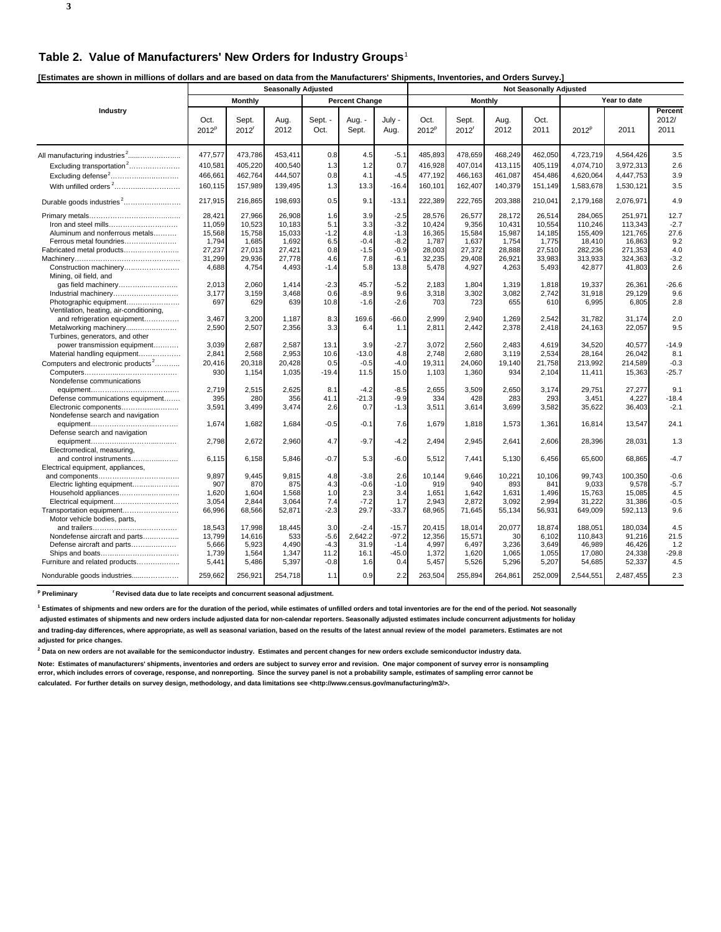**3**

**[Estimates are shown in millions of dollars and are based on data from the Manufacturers' Shipments, Inventories, and Orders Survey.]** 

|                                                                   |                  | <b>Seasonally Adjusted</b> |              |                 |                       |                |                  | <b>Not Seasonally Adjusted</b> |              |              |                   |              |                          |  |
|-------------------------------------------------------------------|------------------|----------------------------|--------------|-----------------|-----------------------|----------------|------------------|--------------------------------|--------------|--------------|-------------------|--------------|--------------------------|--|
|                                                                   |                  | Monthly                    |              |                 | <b>Percent Change</b> |                |                  | <b>Monthly</b>                 |              |              |                   | Year to date |                          |  |
| Industry                                                          | Oct.<br>$2012^p$ | Sept.<br>$2012^r$          | Aug.<br>2012 | Sept. -<br>Oct. | Aug. -<br>Sept.       | July -<br>Aug. | Oct.<br>$2012^p$ | Sept.<br>$2012^r$              | Aug.<br>2012 | Oct.<br>2011 | 2012 <sup>p</sup> | 2011         | Percent<br>2012/<br>2011 |  |
|                                                                   | 477,577          | 473,786                    | 453,411      | 0.8             | 4.5                   | $-5.1$         | 485,893          | 478,659                        | 468,249      | 462,050      | 4,723,719         | 4,564,426    | 3.5                      |  |
| $Extuding transformation2$                                        | 410,581          | 405,220                    | 400,540      | 1.3             | 1.2                   | 0.7            | 416,928          | 407,014                        | 413,115      | 405,119      | 4,074,710         | 3,972,313    | 2.6                      |  |
| Excluding defense <sup>2</sup>                                    | 466,661          | 462,764                    | 444,507      | 0.8             | 4.1                   | $-4.5$         | 477,192          | 466,163                        | 461,087      | 454,486      | 4,620,064         | 4,447,753    | 3.9                      |  |
| With unfilled orders <sup>2</sup>                                 | 160,115          | 157,989                    | 139,495      | 1.3             | 13.3                  | $-16.4$        | 160,101          | 162,407                        | 140,379      | 151,149      | 1,583,678         | 1,530,121    | 3.5                      |  |
| Durable goods industries <sup>2</sup>                             | 217,915          | 216,865                    | 198,693      | 0.5             | 9.1                   | $-13.1$        | 222,389          | 222,765                        | 203,388      | 210,041      | 2,179,168         | 2,076,971    | 4.9                      |  |
|                                                                   | 28,421           | 27,966                     | 26,908       | 1.6             | 3.9                   | $-2.5$         | 28,576           | 26,577                         | 28,172       | 26,514       | 284,065           | 251,971      | 12.7                     |  |
| Iron and steel mills                                              | 11,059           | 10,523                     | 10,183       | 5.1             | 3.3                   | $-3.2$         | 10,424           | 9,356                          | 10,431       | 10,554       | 110,246           | 113,343      | $-2.7$                   |  |
| Aluminum and nonferrous metals                                    | 15,568           | 15,758                     | 15,033       | $-1.2$          | 4.8                   | $-1.3$         | 16,365           | 15,584                         | 15,987       | 14,185       | 155,409           | 121,765      | 27.6                     |  |
| Ferrous metal foundries                                           | 1,794            | 1,685                      | 1,692        | 6.5             | $-0.4$                | $-8.2$         | 1,787            | 1,637                          | 1,754        | 1,775        | 18,410            | 16,863       | 9.2                      |  |
| Fabricated metal products                                         | 27,237           | 27,013                     | 27,421       | 0.8             | $-1.5$                | $-0.9$         | 28,003           | 27,372                         | 28,888       | 27,510       | 282,236           | 271,353      | 4.0                      |  |
|                                                                   | 31,299           | 29,936                     | 27,778       | 4.6             | 7.8                   | $-6.1$         | 32,235           | 29,408                         | 26,921       | 33,983       | 313,933           | 324,363      | $-3.2$                   |  |
| Construction machinery<br>Mining, oil field, and                  | 4,688            | 4,754                      | 4,493        | $-1.4$          | 5.8                   | 13.8           | 5,478            | 4,927                          | 4,263        | 5,493        | 42,877            | 41,803       | 2.6                      |  |
| gas field machinery                                               | 2,013            | 2,060                      | 1,414        | $-2.3$          | 45.7                  | $-5.2$         | 2,183            | 1,804                          | 1,319        | 1,818        | 19,337            | 26,361       | $-26.6$                  |  |
| Industrial machinery                                              | 3,177            | 3,159                      | 3,468        | 0.6             | $-8.9$                | 9.6            | 3,318            | 3,302                          | 3,082        | 2,742        | 31,918            | 29,129       | 9.6                      |  |
| Photographic equipment<br>Ventilation, heating, air-conditioning, | 697              | 629                        | 639          | 10.8            | $-1.6$                | $-2.6$         | 703              | 723                            | 655          | 610          | 6,995             | 6,805        | 2.8                      |  |
| and refrigeration equipment                                       | 3,467            | 3,200                      | 1,187        | 8.3             | 169.6                 | $-66.0$        | 2,999            | 2,940                          | 1,269        | 2,542        | 31,782            | 31,174       | 2.0                      |  |
| Metalworking machinery<br>Turbines, generators, and other         | 2,590            | 2,507                      | 2,356        | 3.3             | 6.4                   | 1.1            | 2,811            | 2,442                          | 2,378        | 2,418        | 24,163            | 22,057       | 9.5                      |  |
| power transmission equipment                                      | 3.039            | 2.687                      | 2,587        | 13.1            | 3.9                   | $-2.7$         | 3.072            | 2,560                          | 2.483        | 4,619        | 34,520            | 40.577       | $-14.9$                  |  |
| Material handling equipment                                       | 2,841            | 2,568                      | 2,953        | 10.6            | $-13.0$               | 4.8            | 2.748            | 2.680                          | 3.119        | 2,534        | 28,164            | 26,042       | 8.1                      |  |
| Computers and electronic products <sup>2</sup>                    | 20,416           | 20,318                     | 20,428       | 0.5             | $-0.5$                | $-4.0$         | 19,311           | 24,060                         | 19,140       | 21,758       | 213,992           | 214,589      | $-0.3$                   |  |
| Nondefense communications                                         | 930              | 1,154                      | 1,035        | $-19.4$         | 11.5                  | 15.0           | 1,103            | 1,360                          | 934          | 2,104        | 11,411            | 15,363       | $-25.7$                  |  |
|                                                                   | 2,719            | 2,515                      | 2,625        | 8.1             | $-4.2$                | $-8.5$         | 2,655            | 3,509                          | 2,650        | 3,174        | 29,751            | 27,277       | 9.1                      |  |
| Defense communications equipment                                  | 395              | 280                        | 356          | 41.1            | $-21.3$               | $-9.9$         | 334              | 428                            | 283          | 293          | 3,451             | 4,227        | $-18.4$                  |  |
| Electronic components<br>Nondefense search and navigation         | 3,591            | 3,499                      | 3,474        | 2.6             | 0.7                   | $-1.3$         | 3,511            | 3,614                          | 3,699        | 3,582        | 35,622            | 36,403       | $-2.1$                   |  |
| Defense search and navigation                                     | 1,674            | 1,682                      | 1,684        | $-0.5$          | $-0.1$                | 7.6            | 1,679            | 1,818                          | 1,573        | 1,361        | 16,814            | 13,547       | 24.1                     |  |
| Electromedical, measuring,                                        | 2,798            | 2,672                      | 2,960        | 4.7             | $-9.7$                | $-4.2$         | 2,494            | 2,945                          | 2,641        | 2,606        | 28,396            | 28,031       | 1.3                      |  |
| and control instruments                                           | 6,115            | 6,158                      | 5,846        | $-0.7$          | 5.3                   | $-6.0$         | 5,512            | 7,441                          | 5,130        | 6,456        | 65,600            | 68.865       | $-4.7$                   |  |
| Electrical equipment, appliances,                                 | 9,897            | 9,445                      | 9,815        | 4.8             | $-3.8$                | 2.6            | 10,144           | 9,646                          | 10,221       | 10,106       | 99,743            | 100,350      | $-0.6$                   |  |
| Electric lighting equipment                                       | 907              | 870                        | 875          | 4.3             | $-0.6$                | $-1.0$         | 919              | 940                            | 893          | 841          | 9,033             | 9,578        | $-5.7$                   |  |
| Household appliances                                              | 1,620            | 1,604                      | 1,568        | 1.0             | 2.3                   | 3.4            | 1,651            | 1,642                          | 1,631        | 1,496        | 15,763            | 15,085       | 4.5                      |  |
| Electrical equipment                                              | 3,054            | 2,844                      | 3,064        | 7.4             | $-7.2$                | 1.7            | 2,943            | 2,872                          | 3,092        | 2,994        | 31,222            | 31,386       | $-0.5$                   |  |
| Transportation equipment                                          | 66,996           | 68,566                     | 52,871       | $-2.3$          | 29.7                  | $-33.7$        | 68,965           | 71,645                         | 55,134       | 56,931       | 649,009           | 592,113      | 9.6                      |  |
| Motor vehicle bodies, parts,                                      |                  |                            |              |                 |                       |                |                  |                                |              |              |                   |              |                          |  |
|                                                                   | 18,543           | 17,998                     | 18,445       | 3.0             | $-2.4$                | $-15.7$        | 20,415           | 18,014                         | 20,077       | 18,874       | 188,051           | 180,034      | 4.5                      |  |
| Nondefense aircraft and parts                                     | 13,799           | 14,616                     | 533          | $-5.6$          | 2,642.2               | $-97.2$        | 12,356           | 15,571                         | 30           | 6,102        | 110,843           | 91,216       | 21.5                     |  |
| Defense aircraft and parts                                        | 5,666            | 5,923                      | 4,490        | $-4.3$          | 31.9                  | $-1.4$         | 4,997            | 6,497                          | 3,236        | 3,649        | 46,989            | 46,426       | 1.2                      |  |
|                                                                   | 1,739            | 1,564                      | 1,347        | 11.2            | 16.1                  | $-45.0$        | 1,372            | 1,620                          | 1.065        | 1,055        | 17,080            | 24,338       | $-29.8$                  |  |
| Furniture and related products                                    | 5,441            | 5,486                      | 5,397        | $-0.8$          | 1.6                   | 0.4            | 5,457            | 5,526                          | 5,296        | 5,207        | 54,685            | 52,337       | 4.5                      |  |
| Nondurable goods industries                                       | 259.662          | 256,921                    | 254,718      | 1.1             | 0.9                   | 2.2            | 263,504          | 255,894                        | 264,861      | 252.009      | 2,544,551         | 2,487,455    | 2.3                      |  |

<sup>p</sup> Preliminary <sup>r</sup> Revised data due to late receipts and concurrent seasonal adjustment.

**1 Estimates of shipments and new orders are for the duration of the period, while estimates of unfilled orders and total inventories are for the end of the period. Not seasonally**

 **adjusted estimates of shipments and new orders include adjusted data for non-calendar reporters. Seasonally adjusted estimates include concurrent adjustments for holiday and trading-day differences, where appropriate, as well as seasonal variation, based on the results of the latest annual review of the model parameters. Estimates are not adjusted for price changes.**

**2 Data on new orders are not available for the semiconductor industry. Estimates and percent changes for new orders exclude semiconductor industry data.**

**Note: Estimates of manufacturers' shipments, inventories and orders are subject to survey error and revision. One major component of survey error is nonsampling error, which includes errors of coverage, response, and nonreporting. Since the survey panel is not a probability sample, estimates of sampling error cannot be calculated. For further details on survey design, methodology, and data limitations see <http://www.census.gov/manufacturing/m3/>.**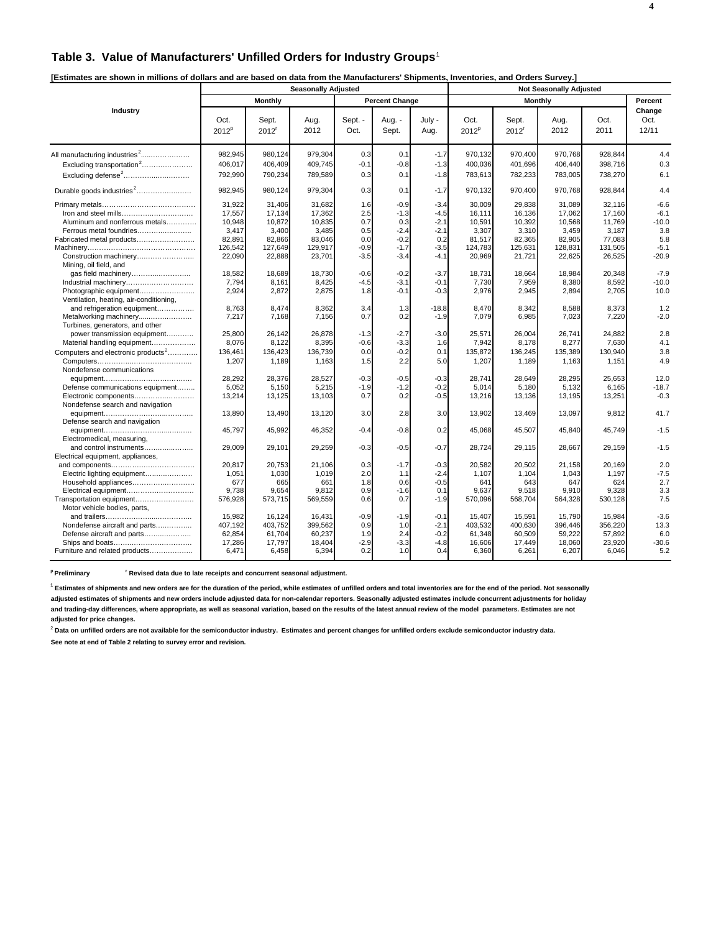# **Table 3. Value of Manufacturers' Unfilled Orders for Industry Groups**<sup>1</sup>

| [Estimates are shown in millions of dollars and are based on data from the Manufacturers' Shipments, Inventories, and Orders Survey.] |  |
|---------------------------------------------------------------------------------------------------------------------------------------|--|
|---------------------------------------------------------------------------------------------------------------------------------------|--|

|                                                                   | <b>Seasonally Adjusted</b> |                            |              |                 |                       |                |                  |                            |              |              |                         |
|-------------------------------------------------------------------|----------------------------|----------------------------|--------------|-----------------|-----------------------|----------------|------------------|----------------------------|--------------|--------------|-------------------------|
|                                                                   |                            | Monthly                    |              |                 | <b>Percent Change</b> |                |                  | <b>Monthly</b>             |              |              | Percent                 |
| Industry                                                          | Oct.<br>2012 <sup>p</sup>  | Sept.<br>2012 <sup>r</sup> | Aug.<br>2012 | Sept. -<br>Oct. | Aug. -<br>Sept.       | July -<br>Aug. | Oct.<br>$2012^p$ | Sept.<br>2012 <sup>r</sup> | Aug.<br>2012 | Oct.<br>2011 | Change<br>Oct.<br>12/11 |
| All manufacturing industries <sup>2</sup>                         | 982,945                    | 980,124                    | 979,304      | 0.3             | 0.1                   | $-1.7$         | 970,132          | 970,400                    | 970,768      | 928,844      | 4.4                     |
| Excluding transportation <sup>2</sup>                             | 406,017                    | 406,409                    | 409,745      | $-0.1$          | $-0.8$                | $-1.3$         | 400,036          | 401,696                    | 406.440      | 398,716      | 0.3                     |
| Excluding defense <sup>2</sup>                                    | 792,990                    | 790,234                    | 789,589      | 0.3             | 0.1                   | $-1.8$         | 783,613          | 782,233                    | 783,005      | 738,270      | 6.1                     |
| Durable goods industries <sup>2</sup>                             | 982,945                    | 980,124                    | 979,304      | 0.3             | 0.1                   | $-1.7$         | 970,132          | 970,400                    | 970,768      | 928,844      | 4.4                     |
|                                                                   | 31,922                     | 31,406                     | 31,682       | 1.6             | $-0.9$                | $-3.4$         | 30,009           | 29,838                     | 31,089       | 32,116       | $-6.6$                  |
| Iron and steel mills                                              | 17,557                     | 17,134                     | 17,362       | 2.5             | $-1.3$                | $-4.5$         | 16,111           | 16,136                     | 17,062       | 17,160       | $-6.1$                  |
| Aluminum and nonferrous metals                                    | 10,948                     | 10,872                     | 10,835       | 0.7             | 0.3                   | $-2.1$         | 10,591           | 10,392                     | 10.568       | 11,769       | $-10.0$                 |
| Ferrous metal foundries                                           | 3,417                      | 3,400                      | 3,485        | 0.5             | $-2.4$                | $-2.1$         | 3,307            | 3,310                      | 3,459        | 3,187        | 3.8                     |
| Fabricated metal products                                         | 82,891                     | 82,866                     | 83,046       | 0.0             | $-0.2$                | 0.2            | 81,517           | 82,365                     | 82,905       | 77,083       | 5.8                     |
|                                                                   | 126,542                    | 127,649                    | 129,917      | $-0.9$          | $-1.7$                | $-3.5$         | 124,783          | 125,631                    | 128,831      | 131,505      | $-5.1$                  |
| Construction machinery<br>Mining, oil field, and                  | 22,090                     | 22,888                     | 23,701       | $-3.5$          | $-3.4$                | $-4.1$         | 20,969           | 21,721                     | 22,625       | 26,525       | $-20.9$                 |
|                                                                   | 18,582                     | 18,689                     | 18.730       | $-0.6$          | $-0.2$                | $-3.7$         | 18,731           | 18,664                     | 18.984       | 20,348       | $-7.9$                  |
| Industrial machinery                                              | 7,794                      | 8,161                      | 8,425        | $-4.5$          | $-3.1$                | $-0.1$         | 7,730            | 7,959                      | 8,380        | 8,592        | $-10.0$                 |
| Photographic equipment<br>Ventilation, heating, air-conditioning, | 2,924                      | 2,872                      | 2,875        | 1.8             | $-0.1$                | $-0.3$         | 2,976            | 2,945                      | 2,894        | 2,705        | 10.0                    |
| and refrigeration equipment                                       | 8,763                      | 8,474                      | 8,362        | 3.4             | 1.3                   | $-18.8$        | 8,470            | 8,342                      | 8,588        | 8,373        | 1.2                     |
| Metalworking machinery                                            | 7,217                      | 7,168                      | 7,156        | 0.7             | 0.2                   | $-1.9$         | 7,079            | 6,985                      | 7,023        | 7,220        | $-2.0$                  |
| Turbines, generators, and other                                   |                            |                            |              |                 |                       |                |                  |                            |              |              |                         |
| power transmission equipment                                      | 25.800                     | 26.142                     | 26.878       | $-1.3$          | $-2.7$                | $-3.0$         | 25.571           | 26.004                     | 26.741       | 24.882       | 2.8                     |
| Material handling equipment                                       | 8,076                      | 8,122                      | 8,395        | $-0.6$          | $-3.3$                | 1.6            | 7,942            | 8,178                      | 8,277        | 7,630        | 4.1                     |
| Computers and electronic products <sup>2</sup>                    | 136,461                    | 136,423                    | 136,739      | 0.0             | $-0.2$                | 0.1            | 135,872          | 136,245                    | 135,389      | 130,940      | 3.8                     |
|                                                                   | 1,207                      | 1,189                      | 1,163        | 1.5             | 2.2                   | 5.0            | 1,207            | 1,189                      | 1,163        | 1,151        | 4.9                     |
| Nondefense communications                                         | 28,292                     | 28,376                     | 28,527       | $-0.3$          | $-0.5$                | $-0.3$         | 28,741           | 28,649                     | 28,295       | 25,653       | 12.0                    |
| Defense communications equipment                                  | 5,052                      | 5,150                      | 5,215        | $-1.9$          | $-1.2$                | $-0.2$         | 5,014            | 5,180                      | 5,132        | 6,165        | $-18.7$                 |
| Electronic components                                             | 13,214                     | 13,125                     | 13,103       | 0.7             | 0.2                   | $-0.5$         | 13,216           | 13,136                     | 13,195       | 13,251       | $-0.3$                  |
| Nondefense search and navigation                                  |                            |                            |              |                 |                       |                |                  |                            |              |              |                         |
| Defense search and navigation                                     | 13,890                     | 13,490                     | 13,120       | 3.0             | 2.8                   | 3.0            | 13,902           | 13,469                     | 13,097       | 9,812        | 41.7                    |
|                                                                   | 45,797                     | 45,992                     | 46,352       | $-0.4$          | $-0.8$                | 0.2            | 45,068           | 45,507                     | 45,840       | 45,749       | $-1.5$                  |
| Electromedical, measuring,<br>and control instruments             | 29,009                     | 29,101                     | 29,259       | $-0.3$          | $-0.5$                | $-0.7$         | 28,724           | 29,115                     | 28,667       | 29,159       | $-1.5$                  |
| Electrical equipment, appliances,                                 |                            |                            |              |                 |                       |                |                  |                            |              |              |                         |
|                                                                   | 20,817                     | 20,753                     | 21,106       | 0.3             | $-1.7$                | $-0.3$         | 20,582           | 20,502                     | 21,158       | 20,169       | 2.0                     |
| Electric lighting equipment                                       | 1,051                      | 1,030                      | 1,019        | 2.0             | 1.1                   | $-2.4$         | 1,107            | 1,104                      | 1,043        | 1,197        | $-7.5$                  |
| Household appliances                                              | 677                        | 665                        | 661          | 1.8             | 0.6                   | $-0.5$         | 641              | 643                        | 647          | 624          | 2.7                     |
| Electrical equipment                                              | 9,738                      | 9,654                      | 9,812        | 0.9             | $-1.6$                | 0.1            | 9,637            | 9,518                      | 9,910        | 9,328        | 3.3                     |
| Transportation equipment                                          | 576,928                    | 573,715                    | 569,559      | 0.6             | 0.7                   | $-1.9$         | 570,096          | 568,704                    | 564,328      | 530,128      | 7.5                     |
| Motor vehicle bodies, parts,                                      |                            |                            |              |                 |                       |                |                  |                            |              |              |                         |
|                                                                   | 15,982                     | 16,124                     | 16,431       | $-0.9$          | $-1.9$                | $-0.1$         | 15,407           | 15,591                     | 15,790       | 15,984       | $-3.6$                  |
| Nondefense aircraft and parts                                     | 407,192                    | 403,752                    | 399,562      | 0.9             | 1.0                   | $-2.1$         | 403,532          | 400,630                    | 396,446      | 356,220      | 13.3                    |
| Defense aircraft and parts                                        | 62,854                     | 61,704                     | 60,237       | 1.9             | 2.4                   | $-0.2$         | 61,348           | 60,509                     | 59,222       | 57,892       | 6.0                     |
| Ships and boats                                                   | 17,286                     | 17,797                     | 18,404       | $-2.9$          | $-3.3$                | $-4.8$         | 16,606           | 17,449                     | 18,060       | 23,920       | $-30.6$                 |
| Furniture and related products                                    | 6,471                      | 6,458                      | 6,394        | 0.2             | 1.0                   | 0.4            | 6,360            | 6,261                      | 6,207        | 6,046        | 5.2                     |

**p Preliminary r Revised data due to late receipts and concurrent seasonal adjustment.**

**1 Estimates of shipments and new orders are for the duration of the period, while estimates of unfilled orders and total inventories are for the end of the period. Not seasonally adjusted estimates of shipments and new orders include adjusted data for non-calendar reporters. Seasonally adjusted estimates include concurrent adjustments for holiday and trading-day differences, where appropriate, as well as seasonal variation, based on the results of the latest annual review of the model parameters. Estimates are not adjusted for price changes.**

<sup>2</sup> Data on unfilled orders are not available for the semiconductor industry. Estimates and percent changes for unfilled orders exclude semiconductor industry data.

**See note at end of Table 2 relating to survey error and revision.**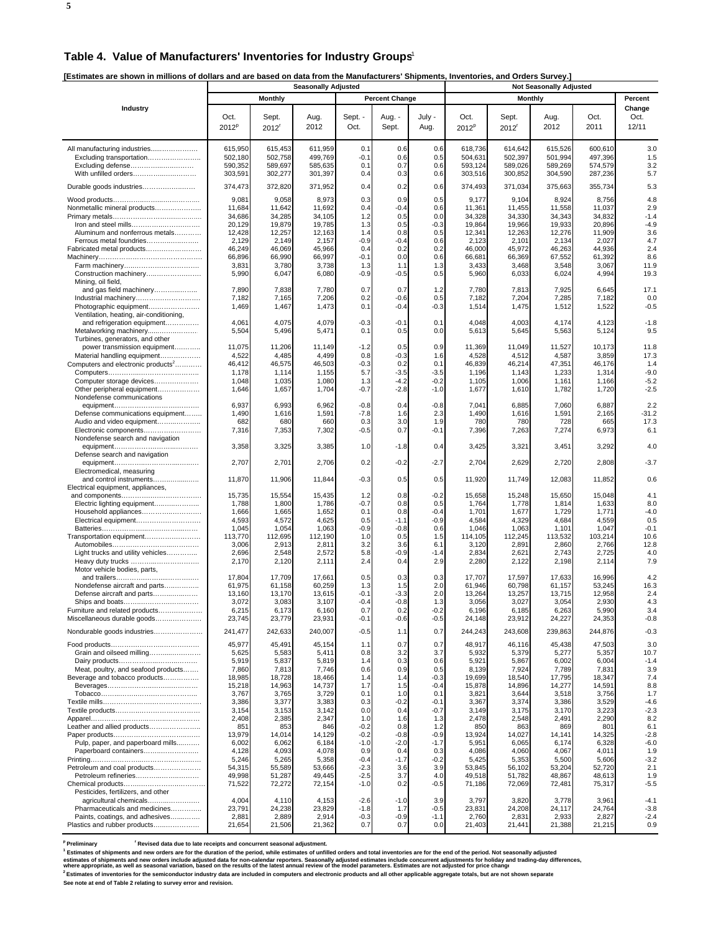#### **Table 4. Value of Manufacturers' Inventories for Industry Groups**<sup>1</sup>

**[Estimates are shown in millions of dollars and are based on data from the Manufacturers' Shipments, Inventories, and Orders Survey.]** 

|                                                              | <b>Seasonally Adjusted</b> |                     |                    |                  |                       |                  |                    |                     |                                |                    |                  |
|--------------------------------------------------------------|----------------------------|---------------------|--------------------|------------------|-----------------------|------------------|--------------------|---------------------|--------------------------------|--------------------|------------------|
|                                                              |                            | <b>Monthly</b>      |                    |                  | <b>Percent Change</b> |                  |                    | <b>Monthly</b>      | <b>Not Seasonally Adjusted</b> |                    | Percent          |
| Industry                                                     |                            |                     |                    |                  |                       |                  |                    |                     |                                |                    | Change           |
|                                                              | Oct.                       | Sept.               | Aug.               | Sept. -          | Aug. -                | July -           | Oct.               | Sept.               | Aug.                           | Oct.               | Oct.             |
|                                                              | $2012^p$                   | $2012$ <sup>r</sup> | 2012               | Oct.             | Sept.                 | Aug.             | 2012 <sup>p</sup>  | $2012$ <sup>r</sup> | 2012                           | 2011               | 12/11            |
|                                                              |                            |                     |                    |                  |                       |                  |                    |                     |                                |                    |                  |
| All manufacturing industries                                 | 615,950                    | 615,453             | 611,959            | 0.1              | 0.6                   | 0.6              | 618,736            | 614,642             | 615,526                        | 600,610            | 3.0              |
| Excluding transportation                                     | 502.180                    | 502,758             | 499,769            | $-0.1$           | 0.6                   | 0.5              | 504,631            | 502,397             | 501.994                        | 497,396            | 1.5              |
| Excluding defense<br>With unfilled orders                    | 590,352<br>303,591         | 589,697<br>302,277  | 585,635<br>301,397 | 0.1<br>0.4       | 0.7<br>0.3            | 0.6<br>0.6       | 593,124<br>303,516 | 589,026<br>300,852  | 589,269<br>304,590             | 574,579<br>287,236 | 3.2<br>5.7       |
|                                                              |                            |                     |                    |                  |                       |                  |                    |                     |                                |                    |                  |
| Durable goods industries                                     | 374,473                    | 372,820             | 371,952            | 0.4              | 0.2                   | 0.6              | 374,493            | 371,034             | 375,663                        | 355,734            | 5.3              |
|                                                              | 9,081                      | 9,058               | 8,973              | 0.3              | 0.9                   | 0.5              | 9,177              | 9,104               | 8,924                          | 8,756              | 4.8              |
| Nonmetallic mineral products                                 | 11,684                     | 11,642              | 11,692             | 0.4              | $-0.4$                | 0.6              | 11,361             | 11,455              | 11,558                         | 11,037             | 2.9              |
|                                                              | 34,686                     | 34,285              | 34,105             | 1.2              | 0.5                   | 0.0              | 34,328             | 34,330              | 34,343                         | 34,832             | $-1.4$           |
| Aluminum and nonferrous metals                               | 20,129<br>12,428           | 19,879<br>12,257    | 19,785<br>12,163   | 1.3<br>1.4       | 0.5<br>0.8            | $-0.3$<br>0.5    | 19,864<br>12,341   | 19,966<br>12,263    | 19,933<br>12,276               | 20,896<br>11,909   | $-4.9$<br>3.6    |
| Ferrous metal foundries                                      | 2,129                      | 2,149               | 2,157              | -0.9             | $-0.4$                | 0.6              | 2,123              | 2,101               | 2,134                          | 2,027              | 4.7              |
| Fabricated metal products                                    | 46,249                     | 46,069              | 45,966             | 0.4              | 0.2                   | 0.2              | 46,000             | 45,972              | 46,263                         | 44,936             | 2.4              |
|                                                              | 66,896                     | 66,990              | 66,997             | $-0.1$           | 0.0                   | 0.6              | 66,681             | 66,369              | 67,552                         | 61,392             | 8.6              |
|                                                              | 3,831                      | 3,780               | 3,738              | 1.3              | 1.1                   | 1.3              | 3,433              | 3,468               | 3,548                          | 3,067              | 11.9             |
| Construction machinery<br>Mining, oil field,                 | 5,990                      | 6,047               | 6,080              | $-0.9$           | $-0.5$                | 0.5              | 5,960              | 6,033               | 6,024                          | 4,994              | 19.3             |
| and gas field machinery                                      | 7,890                      | 7,838               | 7,780              | 0.7              | 0.7                   | 1.2              | 7,780              | 7,813               | 7,925                          | 6,645              | 17.1             |
| Industrial machinery                                         | 7,182                      | 7,165               | 7,206              | 0.2              | $-0.6$                | 0.5              | 7,182              | 7,204               | 7,285                          | 7,182              | 0.0              |
| Photographic equipment                                       | 1,469                      | 1,467               | 1,473              | 0.1              | $-0.4$                | $-0.3$           | 1,514              | 1,475               | 1,512                          | 1,522              | $-0.5$           |
| Ventilation, heating, air-conditioning,                      | 4,061                      | 4,075               | 4,079              | $-0.3$           | $-0.1$                | 0.1              | 4,048              | 4,003               |                                | 4,123              | $-1.8$           |
| and refrigeration equipment                                  | 5,504                      | 5,496               | 5,471              | 0.1              | 0.5                   | 0.0              | 5,613              | 5,645               | 4,174<br>5,563                 | 5,124              | 9.5              |
| Turbines, generators, and other                              |                            |                     |                    |                  |                       |                  |                    |                     |                                |                    |                  |
| power transmission equipment                                 | 11,075                     | 11,206              | 11,149             | $-1.2$           | 0.5                   | 0.9              | 11,369             | 11,049              | 11,527                         | 10,173             | 11.8             |
| Material handling equipment                                  | 4,522                      | 4,485               | 4,499              | 0.8              | -0.3                  | 1.6              | 4,528              | 4,512               | 4,587                          | 3,859              | 17.3             |
| Computers and electronic products <sup>2</sup>               | 46,412                     | 46,575              | 46,503             | $-0.3$           | 0.2                   | 0.1              | 46,839             | 46,214              | 47,351                         | 46,176             | 1.4              |
| Computer storage devices                                     | 1,178<br>1,048             | 1,114<br>1,035      | 1,155<br>1,080     | 5.7<br>1.3       | $-3.5$<br>-4.2        | $-3.5$<br>$-0.2$ | 1,196<br>1,105     | 1,143<br>1,006      | 1,233<br>1,161                 | 1,314<br>1,166     | $-9.0$<br>$-5.2$ |
| Other peripheral equipment                                   | 1,646                      | 1,657               | 1,704              | $-0.7$           | $-2.8$                | $-1.0$           | 1,677              | 1,610               | 1,782                          | 1,720              | $-2.5$           |
| Nondefense communications                                    |                            |                     |                    |                  |                       |                  |                    |                     |                                |                    |                  |
|                                                              | 6,937                      | 6,993               | 6,962              | $-0.8$           | 0.4                   | $-0.8$           | 7,041              | 6,885               | 7,060                          | 6,887              | 2.2              |
| Defense communications equipment                             | 1,490<br>682               | 1,616<br>680        | 1,591<br>660       | $-7.8$<br>0.3    | 1.6<br>3.0            | 2.3<br>1.9       | 1,490<br>780       | 1,616<br>780        | 1,591<br>728                   | 2,165<br>665       | $-31.2$<br>17.3  |
| Audio and video equipment<br>Electronic components           | 7,316                      | 7,353               | 7,302              | $-0.5$           | 0.7                   | $-0.1$           | 7,396              | 7,263               | 7,274                          | 6,973              | 6.1              |
| Nondefense search and navigation                             |                            |                     |                    |                  |                       |                  |                    |                     |                                |                    |                  |
|                                                              | 3,358                      | 3,325               | 3,385              | 1.0              | $-1.8$                | 0.4              | 3,425              | 3,321               | 3,451                          | 3,292              | 4.0              |
| Defense search and navigation                                |                            |                     |                    |                  |                       |                  |                    |                     |                                |                    |                  |
| Electromedical, measuring                                    | 2,707                      | 2,701               | 2,706              | 0.2              | $-0.2$                | $-2.7$           | 2,704              | 2,629               | 2,720                          | 2,808              | $-3.7$           |
| and control instruments                                      | 11,870                     | 11,906              | 11,844             | $-0.3$           | 0.5                   | 0.5              | 11,920             | 11,749              | 12,083                         | 11,852             | 0.6              |
| Electrical equipment, appliances,                            |                            |                     |                    |                  |                       |                  |                    |                     |                                |                    |                  |
|                                                              | 15,735                     | 15,554              | 15,435             | 1.2              | 0.8                   | $-0.2$           | 15,658             | 15,248              | 15,650                         | 15,048             | 4.1              |
| Electric lighting equipment                                  | 1,788                      | 1,800               | 1,786              | $-0.7$           | 0.8                   | 0.5              | 1,764              | 1,778               | 1,814                          | 1,633              | 8.0              |
| Household appliances<br>Electrical equipment                 | 1,666<br>4,593             | 1,665<br>4,572      | 1,652<br>4,625     | 0.1<br>0.5       | 0.8<br>$-1.1$         | $-0.4$<br>$-0.9$ | 1,701<br>4,584     | 1,677<br>4,329      | 1,729<br>4,684                 | 1,771<br>4,559     | $-4.0$<br>0.5    |
|                                                              | 1,045                      | 1,054               | 1,063              | $-0.9$           | $-0.8$                | 0.6              | 1,046              | 1,063               | 1,101                          | 1,047              | $-0.1$           |
| Transportation equipment                                     | 113,770                    | 112,695             | 112,190            | 1.0              | 0.5                   | 1.5              | 114,105            | 112,245             | 113,532                        | 103,214            | 10.6             |
|                                                              | 3,006                      | 2,913               | 2,811              | 3.2              | 3.6                   | 6.1              | 3,120              | 2,891               | 2,860                          | 2,766              | 12.8             |
| Light trucks and utility vehicles                            | 2,696<br>2,170             | 2,548<br>2,120      | 2,572<br>2,111     | 5.8<br>2.4       | $-0.9$<br>0.4         | $-1.4$<br>2.9    | 2,834<br>2,280     | 2,621<br>2,122      | 2,743<br>2,198                 | 2,725<br>2,114     | 4.0<br>7.9       |
| Motor vehicle bodies, parts,                                 |                            |                     |                    |                  |                       |                  |                    |                     |                                |                    |                  |
|                                                              | 17,804                     | 17,709              | 17,661             | 0.5              | 0.3                   | 0.3              | 17,707             | 17,597              | 17,633                         | 16,996             | 4.2              |
| Nondefense aircraft and parts                                | 61,975                     | 61,158              | 60,259             | 1.3              | 1.5                   | 2.0              | 61,946             | 60,798              | 61,157                         | 53,245             | 16.3             |
| Defense aircraft and parts                                   | 13,160                     | 13,170<br>3,083     | 13,615<br>3,107    | $-0.1$<br>$-0.4$ | $-3.3$                | 2.0              | 13,264<br>3,056    | 13,257<br>3,027     | 13,715<br>3,054                | 12,958<br>2,930    | 2.4<br>4.3       |
| Furniture and related products                               | 3,072<br>6,215             | 6,173               | 6,160              | 0.7              | $-0.8$<br>0.2         | 1.3<br>$-0.2$    | 6,196              | 6,185               | 6,263                          | 5,990              | 3.4              |
| Miscellaneous durable goods                                  | 23,745                     | 23,779              | 23,931             | $-0.1$           | $-0.6$                | $-0.5$           | 24,148             | 23,912              | 24,227                         | 24,353             | $-0.8$           |
| Nondurable goods industries                                  | 241,477                    | 242,633             | 240,007            | $-0.5$           | 1.1                   | 0.7              | 244,243            | 243,608             | 239,863                        | 244,876            | $-0.3$           |
|                                                              |                            |                     |                    |                  |                       |                  |                    |                     |                                |                    |                  |
|                                                              | 45,977                     | 45,491              | 45,154             | 1.1              | 0.7                   | 0.7              | 48,917             | 46,116              | 45,438                         | 47,503             | 3.0              |
| Grain and oilseed milling                                    | 5,625<br>5,919             | 5,583<br>5,837      | 5,411<br>5,819     | 0.8<br>1.4       | 3.2<br>0.3            | 3.7<br>0.6       | 5,932<br>5,921     | 5,379<br>5,867      | 5,277<br>6,002                 | 5,357<br>6,004     | 10.7<br>$-1.4$   |
| Meat, poultry, and seafood products                          | 7,860                      | 7,813               | 7,746              | 0.6              | 0.9                   | 0.5              | 8,139              | 7,924               | 7,789                          | 7,831              | 3.9              |
| Beverage and tobacco products                                | 18,985                     | 18,728              | 18,466             | 1.4              | 1.4                   | $-0.3$           | 19,699             | 18,540              | 17,795                         | 18,347             | 7.4              |
|                                                              | 15,218                     | 14,963              | 14,737             | 1.7              | 1.5                   | $-0.4$           | 15,878             | 14,896              | 14,277                         | 14,591             | 8.8              |
|                                                              | 3,767<br>3,386             | 3,765<br>3,377      | 3,729<br>3,383     | 0.1<br>0.3       | 1.0<br>$-0.2$         | 0.1<br>$-0.1$    | 3,821<br>3,367     | 3,644<br>3,374      | 3,518<br>3,386                 | 3,756<br>3,529     | 1.7<br>$-4.6$    |
|                                                              | 3,154                      | 3,153               | 3,142              | 0.0              | 0.4                   | $-0.7$           | 3,149              | 3,175               | 3,170                          | 3,223              | $-2.3$           |
|                                                              | 2,408                      | 2,385               | 2,347              | 1.0              | 1.6                   | 1.3              | 2,478              | 2,548               | 2,491                          | 2,290              | 8.2              |
| Leather and allied products                                  | 851                        | 853                 | 846                | $-0.2$           | 0.8                   | 1.2              | 850                | 863                 | 869                            | 801                | 6.1              |
|                                                              | 13,979                     | 14,014              | 14,129             | $-0.2$           | $-0.8$                | $-0.9$           | 13,924             | 14,027              | 14,141                         | 14,325             | $-2.8$           |
| Pulp, paper, and paperboard mills<br>Paperboard containers   | 6,002<br>4,128             | 6,062<br>4,093      | 6,184<br>4,078     | $-1.0$<br>0.9    | $-2.0$<br>0.4         | $-1.7$<br>0.3    | 5,951<br>4,086     | 6,065<br>4,060      | 6,174<br>4,067                 | 6,328<br>4,011     | $-6.0$<br>1.9    |
|                                                              | 5,246                      | 5,265               | 5,358              | $-0.4$           | $-1.7$                | $-0.2$           | 5,425              | 5,353               | 5,500                          | 5,606              | $-3.2$           |
| Petroleum and coal products                                  | 54,315                     | 55,589              | 53,666             | $-2.3$           | 3.6                   | 3.9              | 53,845             | 56,102              | 53,204                         | 52,720             | 2.1              |
| Petroleum refineries                                         | 49,998                     | 51,287              | 49,445             | $-2.5$           | 3.7                   | 4.0              | 49,518             | 51,782              | 48,867                         | 48,613             | 1.9              |
|                                                              | 71,522                     | 72,272              | 72,154             | $-1.0$           | 0.2                   | $-0.5$           | 71,186             | 72,069              | 72,481                         | 75,317             | $-5.5$           |
| Pesticides, fertilizers, and other<br>agricultural chemicals | 4,004                      | 4,110               | 4,153              | $-2.6$           | $-1.0$                | 3.9              | 3,797              | 3,820               | 3,778                          | 3,961              | $-4.1$           |
| Pharmaceuticals and medicines                                | 23,791                     | 24,238              | 23,829             | $-1.8$           | 1.7                   | $-0.5$           | 23,831             | 24,208              | 24,117                         | 24,764             | $-3.8$           |
| Paints, coatings, and adhesives                              | 2,881                      | 2,889               | 2,914              | $-0.3$           | $-0.9$                | $-1.1$           | 2,760              | 2,831               | 2,933                          | 2,827              | $-2.4$           |
| Plastics and rubber products                                 | 21,654                     | 21,506              | 21,362             | 0.7              | 0.7                   | 0.0              | 21,403             | 21,441              | 21,388                         | 21,215             | 0.9              |

<sup>p</sup> Preliminary **Revised data due to late receipts and concurrent seasonal adjustment.** 

<sup>1</sup> Estimates of shipments and new orders are for the duration of the period, while estimates of unfilled orders and total inventories are for the end of the period. Not seasonally adjusted<br>estimates of shipments and new o

**2 Estimates of inventories for the semiconductor industry data are included in computers and electronic products and all other applicable aggregate totals, but are not shown separate See note at end of Table 2 relating to survey error and revision.**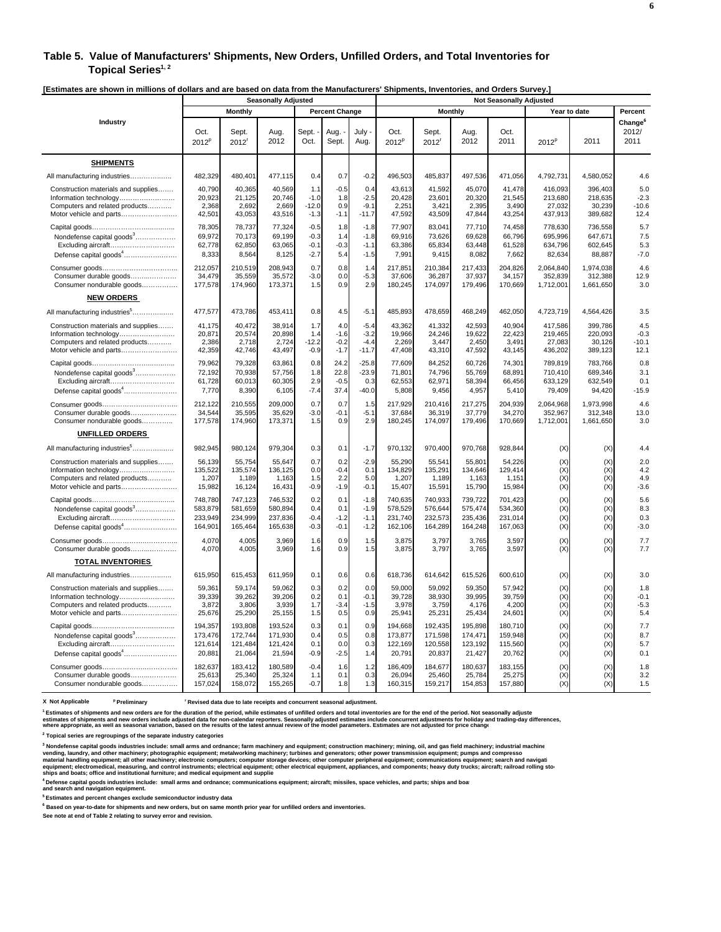#### **Table 5. Value of Manufacturers' Shipments, New Orders, Unfilled Orders, and Total Inventories for**  Topical Series<sup>1, 2</sup>

**[Estimates are shown in millions of dollars and are based on data from the Manufacturers' Shipments, Inventories, and Orders Survey.]** 

|                                           | <b>Seasonally Adjusted</b> |                            |              |               |                       |                | LSuniales are shown in millions or uonars and are based on uata from the manufacturers' omphiems, inventories, and Orders ourve<br><b>Not Seasonally Adjusted</b> |                            |              |              |                   |              |                                      |
|-------------------------------------------|----------------------------|----------------------------|--------------|---------------|-----------------------|----------------|-------------------------------------------------------------------------------------------------------------------------------------------------------------------|----------------------------|--------------|--------------|-------------------|--------------|--------------------------------------|
|                                           |                            | <b>Monthly</b>             |              |               | <b>Percent Change</b> |                |                                                                                                                                                                   | <b>Monthly</b>             |              |              |                   | Year to date | Percent                              |
| Industry                                  | Oct.<br>$2012^p$           | Sept.<br>2012 <sup>r</sup> | Aug.<br>2012 | Sept.<br>Oct. | Aug.<br>Sept.         | July -<br>Aug. | Oct.<br>2012 <sup>p</sup>                                                                                                                                         | Sept.<br>2012 <sup>r</sup> | Aug.<br>2012 | Oct.<br>2011 | 2012 <sup>p</sup> | 2011         | Change <sup>6</sup><br>2012/<br>2011 |
| <b>SHIPMENTS</b>                          |                            |                            |              |               |                       |                |                                                                                                                                                                   |                            |              |              |                   |              |                                      |
| All manufacturing industries              | 482,329                    | 480,401                    | 477,115      | 0.4           | 0.7                   | $-0.2$         | 496,503                                                                                                                                                           | 485,837                    | 497,536      | 471,056      | 4,792,731         | 4,580,052    | 4.6                                  |
| Construction materials and supplies       | 40,790                     | 40,365                     | 40,569       | 1.1           | $-0.5$                | 0.4            | 43,613                                                                                                                                                            | 41,592                     | 45,070       | 41,478       | 416,093           | 396,403      | 5.0                                  |
| Information technology                    | 20,923                     | 21,125                     | 20,746       | $-1.0$        | 1.8                   | $-2.5$         | 20,428                                                                                                                                                            | 23,601                     | 20,320       | 21,545       | 213,680           | 218,635      | $-2.3$                               |
| Computers and related products            | 2,368                      | 2,692                      | 2,669        | $-12.0$       | 0.9                   | $-9.1$         | 2,251                                                                                                                                                             | 3,421                      | 2,395        | 3,490        | 27,032            | 30,239       | $-10.6$                              |
| Motor vehicle and parts                   | 42,501                     | 43,053                     | 43,516       | $-1.3$        | $-1.1$                | $-11.7$        | 47,592                                                                                                                                                            | 43,509                     | 47,844       | 43,254       | 437,913           | 389,682      | 12.4                                 |
|                                           | 78,305                     | 78,737                     | 77,324       | $-0.5$        | 1.8                   | $-1.8$         | 77,907                                                                                                                                                            | 83,041                     | 77,710       | 74,458       | 778,630           | 736,558      | 5.7                                  |
| Nondefense capital goods <sup>3</sup>     | 69,972                     | 70,173                     | 69,199       | $-0.3$        | 1.4                   | $-1.8$         | 69,916                                                                                                                                                            | 73,626                     | 69,628       | 66,796       | 695,996           | 647,671      | 7.5                                  |
| Excluding aircraft                        | 62,778                     | 62,850                     | 63,065       | $-0.1$        | $-0.3$                | $-1.1$         | 63,386                                                                                                                                                            | 65,834                     | 63,448       | 61,528       | 634,796           | 602,645      | 5.3                                  |
| Defense capital goods <sup>4</sup>        | 8,333                      | 8,564                      | 8,125        | $-2.7$        | 5.4                   | $-1.5$         | 7,991                                                                                                                                                             | 9,415                      | 8,082        | 7,662        | 82,634            | 88,887       | $-7.0$                               |
|                                           | 212,057                    | 210,519                    | 208,943      | 0.7           | 0.8                   | 1.4            | 217,851                                                                                                                                                           | 210,384                    | 217,433      | 204,826      | 2,064,840         | 1,974,038    | 4.6                                  |
| Consumer durable goods                    | 34,479                     | 35,559                     | 35,572       | $-3.0$        | 0.0                   | $-5.3$         | 37,606                                                                                                                                                            | 36,287                     | 37,937       | 34,157       | 352,839           | 312,388      | 12.9                                 |
| Consumer nondurable goods                 | 177,578                    | 174,960                    | 173,371      | 1.5           | 0.9                   | 2.9            | 180,245                                                                                                                                                           | 174,097                    | 179,496      | 170,669      | 1,712,001         | 1,661,650    | 3.0                                  |
| <b>NEW ORDERS</b>                         |                            |                            |              |               |                       |                |                                                                                                                                                                   |                            |              |              |                   |              |                                      |
| All manufacturing industries <sup>5</sup> | 477,577                    | 473,786                    | 453,411      | 0.8           | 4.5                   | $-5.1$         | 485,893                                                                                                                                                           | 478,659                    | 468,249      | 462,050      | 4,723,719         | 4,564,426    | 3.5                                  |
| Construction materials and supplies       | 41,175                     | 40,472                     | 38,914       | 1.7           | 4.0                   | $-5.4$         | 43.362                                                                                                                                                            | 41,332                     | 42,593       | 40.904       | 417,586           | 399,786      | 4.5                                  |
| Information technology                    | 20,871                     | 20,574                     | 20,898       | 1.4           | $-1.6$                | $-3.2$         | 19,966                                                                                                                                                            | 24,246                     | 19,622       | 22,423       | 219,465           | 220,093      | $-0.3$                               |
| Computers and related products            | 2,386                      | 2,718                      | 2,724        | $-12.2$       | $-0.2$                | $-4.4$         | 2,269                                                                                                                                                             | 3,447                      | 2,450        | 3,491        | 27,083            | 30,126       | $-10.1$                              |
| Motor vehicle and parts                   | 42,359                     | 42,746                     | 43,497       | $-0.9$        | $-1.7$                | $-11.7$        | 47,408                                                                                                                                                            | 43,310                     | 47,592       | 43,145       | 436,202           | 389,123      | 12.1                                 |
|                                           | 79,962                     | 79,328                     | 63,861       | 0.8           | 24.2                  | $-25.8$        | 77,609                                                                                                                                                            | 84,252                     | 60,726       | 74,301       | 789,819           | 783,766      | 0.8                                  |
| Nondefense capital goods <sup>3</sup>     | 72,192                     | 70,938                     | 57,756       | 1.8           | 22.8                  | $-23.9$        | 71,801                                                                                                                                                            | 74,796                     | 55,769       | 68,891       | 710,410           | 689,346      | 3.1                                  |
| Excluding aircraft                        | 61,728                     | 60,013                     | 60,305       | 2.9           | $-0.5$                | 0.3            | 62,553                                                                                                                                                            | 62,971                     | 58,394       | 66,456       | 633,129           | 632,549      | 0.1                                  |
| Defense capital goods <sup>4</sup>        | 7,770                      | 8,390                      | 6,105        | $-7.4$        | 37.4                  | $-40.0$        | 5,808                                                                                                                                                             | 9,456                      | 4,957        | 5,410        | 79,409            | 94,420       | $-15.9$                              |
|                                           | 212,122                    | 210,555                    | 209,000      | 0.7           | 0.7                   | 1.5            | 217,929                                                                                                                                                           | 210,416                    | 217,275      | 204,939      | 2,064,968         | 1,973,998    | 4.6                                  |
| Consumer durable goods                    | 34,544                     | 35,595                     | 35,629       | $-3.0$        | $-0.1$                | $-5.1$         | 37,684                                                                                                                                                            | 36,319                     | 37,779       | 34,270       | 352,967           | 312,348      | 13.0                                 |
| Consumer nondurable goods                 | 177,578                    | 174,960                    | 173,371      | 1.5           | 0.9                   | 2.9            | 180,245                                                                                                                                                           | 174,097                    | 179,496      | 170,669      | 1,712,001         | 1,661,650    | 3.0                                  |
| <b>UNFILLED ORDERS</b>                    |                            |                            |              |               |                       |                |                                                                                                                                                                   |                            |              |              |                   |              |                                      |
| All manufacturing industries <sup>5</sup> | 982,945                    | 980,124                    | 979,304      | 0.3           | 0.1                   | $-1.7$         | 970,132                                                                                                                                                           | 970,400                    | 970,768      | 928,844      | (X)               | (X)          | 4.4                                  |
| Construction materials and supplies       | 56,139                     | 55,754                     | 55,647       | 0.7           | 0.2                   | $-2.9$         | 55,290                                                                                                                                                            | 55,541                     | 55,801       | 54,226       | (X)               | (X)          | 2.0                                  |
| Information technology                    | 135,522                    | 135,574                    | 136,125      | 0.0           | $-0.4$                | 0.1            | 134,829                                                                                                                                                           | 135,291                    | 134,646      | 129,414      | (X)               | (X)          | 4.2                                  |
| Computers and related products            | 1,207                      | 1,189                      | 1,163        | 1.5           | 2.2                   | 5.0            | 1,207                                                                                                                                                             | 1,189                      | 1,163        | 1,151        | (X)               | (X)          | 4.9                                  |
| Motor vehicle and parts                   | 15,982                     | 16,124                     | 16,431       | $-0.9$        | $-1.9$                | $-0.1$         | 15,407                                                                                                                                                            | 15,591                     | 15,790       | 15,984       | (X)               | (X)          | $-3.6$                               |
|                                           | 748,780                    | 747,123                    | 746,532      | 0.2           | 0.1                   | $-1.8$         | 740,635                                                                                                                                                           | 740,933                    | 739,722      | 701,423      | (X)               | (X)          | 5.6                                  |
| Nondefense capital goods <sup>3</sup>     | 583,879                    | 581,659                    | 580,894      | 0.4           | 0.1                   | $-1.9$         | 578,529                                                                                                                                                           | 576,644                    | 575,474      | 534,360      | (X)               | (X)          | 8.3                                  |
| Excluding aircraft                        | 233,949                    | 234,999                    | 237,836      | $-0.4$        | $-1.2$                | $-1.1$         | 231,740                                                                                                                                                           | 232,573                    | 235,436      | 231,014      | (X)               | (X)          | 0.3                                  |
| Defense capital goods <sup>4</sup>        | 164,901                    | 165,464                    | 165,638      | $-0.3$        | $-0.1$                | $-1.2$         | 162,106                                                                                                                                                           | 164,289                    | 164,248      | 167,063      | (X)               | (X)          | $-3.0$                               |
|                                           | 4.070                      | 4.005                      | 3,969        | 1.6           | 0.9                   | 1.5            | 3.875                                                                                                                                                             | 3.797                      | 3.765        | 3.597        | (X)               | (X)          | 7.7                                  |
| Consumer durable goods                    | 4,070                      | 4,005                      | 3,969        | 1.6           | 0.9                   | 1.5            | 3,875                                                                                                                                                             | 3,797                      | 3,765        | 3,597        | (X)               | (X)          | 7.7                                  |
| <b>TOTAL INVENTORIES</b>                  |                            |                            |              |               |                       |                |                                                                                                                                                                   |                            |              |              |                   |              |                                      |
| All manufacturing industries              | 615,950                    | 615,453                    | 611,959      | 0.1           | 0.6                   | 0.6            | 618,736                                                                                                                                                           | 614,642                    | 615,526      | 600,610      | (X)               | (X)          | 3.0                                  |
| Construction materials and supplies       | 59,361                     | 59,174                     | 59,062       | 0.3           | 0.2                   | 0.0            | 59,000                                                                                                                                                            | 59,092                     | 59,350       | 57,942       | (X)               | (X)          | 1.8                                  |
| Information technology                    | 39,339                     | 39,262                     | 39,206       | 0.2           | 0.1                   | $-0.1$         | 39,728                                                                                                                                                            | 38,930                     | 39,995       | 39,759       | (X)               | (X)          | $-0.1$                               |
| Computers and related products            | 3,872                      | 3,806                      | 3,939        | 1.7           | $-3.4$                | $-1.5$         | 3,978                                                                                                                                                             | 3,759                      | 4,176        | 4,200        | (X)               | (X)          | $-5.3$                               |
| Motor vehicle and parts                   | 25,676                     | 25,290                     | 25,155       | 1.5           | 0.5                   | 0.9            | 25,941                                                                                                                                                            | 25,231                     | 25,434       | 24,601       | (X)               | (X)          | 5.4                                  |
|                                           | 194,357                    | 193,808                    | 193,524      | 0.3           | 0.1                   | 0.9            | 194,668                                                                                                                                                           | 192,435                    | 195,898      | 180,710      | (X)               | (X)          | 7.7                                  |
| Nondefense capital goods <sup>3</sup>     | 173,476                    | 172,744                    | 171,930      | 0.4           | 0.5                   | 0.8            | 173,877                                                                                                                                                           | 171,598                    | 174,471      | 159,948      | (X)               | (X)          | 8.7                                  |
| Excluding aircraft                        | 121,614                    | 121,484                    | 121,424      | 0.1           | 0.0                   | 0.3            | 122,169                                                                                                                                                           | 120,558                    | 123,192      | 115,560      | (X)               | (X)          | 5.7                                  |
| Defense capital goods <sup>4</sup>        | 20,881                     | 21,064                     | 21,594       | $-0.9$        | $-2.5$                | 1.4            | 20,791                                                                                                                                                            | 20,837                     | 21,427       | 20,762       | (X)               | (X)          | 0.1                                  |
|                                           | 182,637                    | 183.412                    | 180,589      | $-0.4$        | 1.6                   | 1.2            | 186.409                                                                                                                                                           | 184,677                    | 180,637      | 183,155      | (X)               | (X)          | 1.8                                  |
| Consumer durable goods                    | 25,613                     | 25,340                     | 25,324       | 1.1           | 0.1                   | 0.3            | 26,094                                                                                                                                                            | 25,460                     | 25,784       | 25,275       | (X)               | (X)          | 3.2                                  |
| Consumer nondurable goods                 | 157,024                    | 158,072                    | 155,265      | $-0.7$        | 1.8                   | 1.3            | 160,315                                                                                                                                                           | 159,217                    | 154,853      | 157,880      | (X)               | (X)          | 1.5                                  |

**X Not Applicable p Preliminary r Revised data due to late receipts and concurrent seasonal adjustment.**

**1 Estimates of shipments and new orders are for the duration of the period, while estimates of unfilled orders and total inventories are for the end of the period. Not seasonally adjuste** estimates of shipments and new orders include adta for mom-adendar reporters. Seasonally adjusted estimates include concurrent adjustments for holday and trading-day differences,<br>where appropriate, as well as seasonal vari

**2 Topical series are regroupings of the separate industry categories**

<sup>3</sup> Nondefense capital goods industries include: small arms and ordnance; farm machinery and equipment; construction machinery; mining, oil, and gas field machinery; industrial machine<br>vending, laundry, and other machinery

**4 Defense capital goods industries include: small arms and ordnance; communications equipment; aircraft; missiles, space vehicles, and parts; ships and boat**

**and search and navigation equipment. 5 Estimates and percent changes exclude semiconductor industry data**

**6 Based on year-to-date for shipments and new orders, but on same month prior year for unfilled orders and inventories.**

**See note at end of Table 2 relating to survey error and revision.**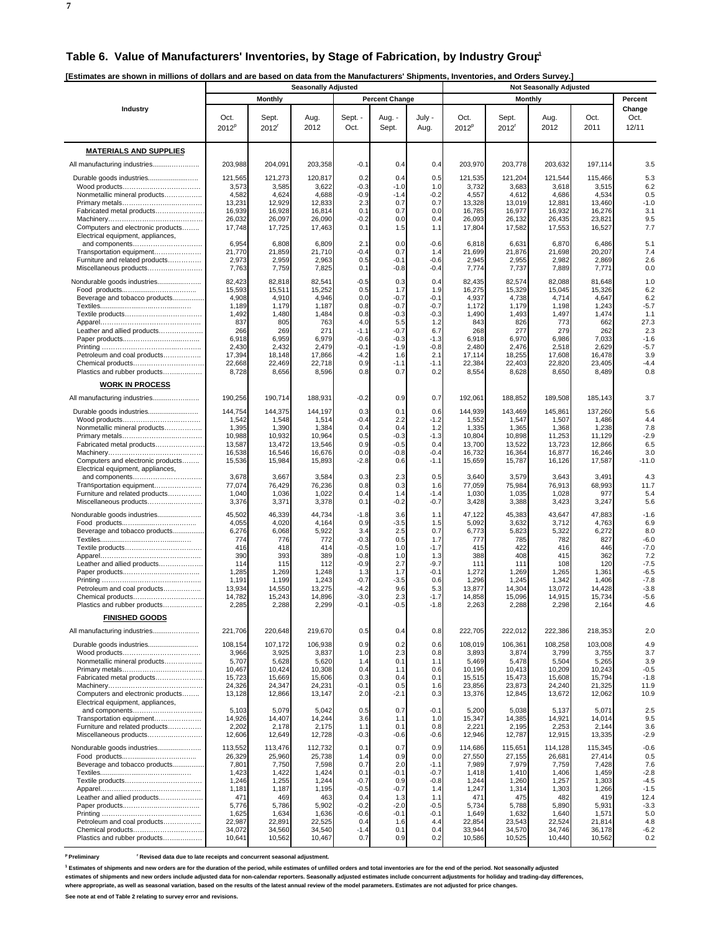**[Estimates are shown in millions of dollars and are based on data from the Manufacturers' Shipments, Inventories, and Orders Survey.]** 

|                                                          | <b>Seasonally Adjusted</b> |                   |                   |                  |                       |                  | <b>Not Seasonally Adjusted</b> |                   |                   |                   |                         |  |
|----------------------------------------------------------|----------------------------|-------------------|-------------------|------------------|-----------------------|------------------|--------------------------------|-------------------|-------------------|-------------------|-------------------------|--|
|                                                          |                            | <b>Monthly</b>    |                   |                  | <b>Percent Change</b> |                  |                                | <b>Monthly</b>    |                   |                   | Percent                 |  |
| Industry                                                 | Oct.<br>$2012^p$           | Sept.<br>2012     | Aug.<br>2012      | Sept. -<br>Oct.  | Aug. -<br>Sept.       | July -<br>Aug.   | Oct.<br>$2012^p$               | Sept.<br>2012'    | Aug.<br>2012      | Oct.<br>2011      | Change<br>Oct.<br>12/11 |  |
| <b>MATERIALS AND SUPPLIES</b>                            |                            |                   |                   |                  |                       |                  |                                |                   |                   |                   |                         |  |
| All manufacturing industries                             | 203,988                    | 204,091           | 203,358           | $-0.1$           | 0.4                   | 0.4              | 203.970                        | 203,778           | 203,632           | 197,114           | 3.5                     |  |
|                                                          | 121,565                    | 121,273           | 120,817           | 0.2              | 0.4                   | 0.5              | 121,535                        | 121,204           | 121,544           | 115,466           | 5.3                     |  |
|                                                          | 3,573                      | 3,585             | 3,622             | $-0.3$           | $-1.0$                | 1.0              | 3,732                          | 3,683             | 3,618             | 3,515             | 6.2                     |  |
| Nonmetallic mineral products                             | 4,582<br>13,231            | 4,624<br>12,929   | 4,688<br>12,833   | $-0.9$<br>2.3    | $-1.4$<br>0.7         | $-0.2$<br>0.7    | 4,557<br>13,328                | 4,612<br>13,019   | 4,686<br>12,881   | 4,534<br>13,460   | 0.5<br>$-1.0$           |  |
| Fabricated metal products                                | 16,939                     | 16,928            | 16,814            | 0.1              | 0.7                   | 0.0              | 16,785                         | 16,977            | 16,932            | 16,276            | 3.1                     |  |
| Computers and electronic products                        | 26,032<br>17,748           | 26,097<br>17,725  | 26,090<br>17,463  | $-0.2$<br>0.1    | 0.0<br>1.5            | 0.4<br>1.1       | 26,093<br>17,804               | 26,132<br>17,582  | 26,435<br>17,553  | 23,821<br>16,527  | 9.5<br>7.7              |  |
| Electrical equipment, appliances,                        |                            |                   |                   |                  |                       |                  |                                |                   |                   |                   |                         |  |
| Transportation equipment                                 | 6,954<br>21,770            | 6,808<br>21,859   | 6,809<br>21,710   | 2.1<br>$-0.4$    | 0.0<br>0.7            | $-0.6$<br>1.4    | 6,818<br>21,699                | 6,631<br>21,876   | 6,870<br>21,698   | 6,486<br>20,207   | 5.1<br>7.4              |  |
| Furniture and related products                           | 2,973                      | 2,959             | 2,963             | 0.5              | $-0.1$                | $-0.6$           | 2,945                          | 2,955             | 2,982             | 2,869             | 2.6                     |  |
| Miscellaneous products                                   | 7,763                      | 7,759             | 7,825             | 0.1              | $-0.8$                | $-0.4$           | 7,774                          | 7,737             | 7,889             | 7,771             | 0.0                     |  |
| Nondurable goods industries                              | 82,423<br>15,593           | 82,818<br>15,511  | 82,541<br>15,252  | $-0.5$<br>0.5    | 0.3<br>1.7            | 0.4<br>1.9       | 82,435<br>16,275               | 82,574<br>15,329  | 82,088<br>15,045  | 81,648<br>15,326  | 1.0<br>6.2              |  |
| Beverage and tobacco products                            | 4,908                      | 4,910             | 4,946             | 0.0              | $-0.7$                | $-0.1$           | 4,937                          | 4,738             | 4,714             | 4,647             | 6.2                     |  |
|                                                          | 1,189<br>1,492             | 1,179<br>1,480    | 1,187<br>1,484    | 0.8<br>0.8       | $-0.7$<br>$-0.3$      | $-0.7$<br>$-0.3$ | 1,172<br>1,490                 | 1,179<br>1,493    | 1,198<br>1,497    | 1,243<br>1,474    | $-5.7$<br>1.1           |  |
|                                                          | 837                        | 805               | 763               | 4.0              | 5.5                   | 1.2              | 843                            | 826               | 773               | 662               | 27.3<br>2.3             |  |
| Leather and allied products                              | 266<br>6,918               | 269<br>6,959      | 271<br>6,979      | $-1.1$<br>$-0.6$ | $-0.7$<br>$-0.3$      | 6.7<br>$-1.3$    | 268<br>6,918                   | 277<br>6,970      | 279<br>6,986      | 262<br>7,033      | $-1.6$                  |  |
|                                                          | 2,430                      | 2,432             | 2,479             | $-0.1$           | $-1.9$                | $-0.8$           | 2,480                          | 2,476             | 2,518             | 2,629             | $-5.7$                  |  |
| Petroleum and coal products<br>Chemical products         | 17,394<br>22,668           | 18,148<br>22,469  | 17,866<br>22,718  | $-4.2$<br>0.9    | 1.6<br>$-1.1$         | 2.1<br>$-1.1$    | 17,114<br>22,384               | 18,255<br>22,403  | 17,608<br>22,820  | 16,478<br>23,405  | 3.9<br>$-4.4$           |  |
| Plastics and rubber products                             | 8,728                      | 8,656             | 8,596             | 0.8              | 0.7                   | 0.2              | 8,554                          | 8,628             | 8,650             | 8,489             | 0.8                     |  |
| <b>WORK IN PROCESS</b>                                   |                            |                   |                   |                  |                       |                  |                                |                   |                   |                   |                         |  |
|                                                          | 190,256                    | 190,714           | 188,931           | $-0.2$           | 0.9                   | 0.7              | 192,061                        | 188,852           | 189.508           | 185,143           | 3.7                     |  |
|                                                          | 144,754                    | 144,375           | 144,197           | 0.3              | 0.1                   | 0.6              | 144,939                        | 143,469           | 145,861           | 137,260           | 5.6                     |  |
| Nonmetallic mineral products                             | 1,542<br>1,395             | 1,548<br>1,390    | 1,514<br>1,384    | $-0.4$<br>0.4    | 2.2<br>0.4            | $-1.2$<br>1.2    | 1,552<br>1,335                 | 1,547<br>1,365    | 1,507<br>1,368    | 1,486<br>1,238    | 4.4<br>7.8              |  |
|                                                          | 10,988                     | 10,932            | 10,964            | 0.5              | $-0.3$<br>$-0.5$      | $-1.3$<br>0.4    | 10,804                         | 10,898            | 11,253            | 11,129            | $-2.9$                  |  |
| Fabricated metal products                                | 13,587<br>16,538           | 13,472<br>16,546  | 13,546<br>16,676  | 0.9<br>0.0       | $-0.8$                | $-0.4$           | 13,700<br>16,732               | 13,522<br>16,364  | 13,723<br>16,877  | 12,866<br>16,246  | 6.5<br>3.0              |  |
| Computers and electronic products                        | 15,536                     | 15,984            | 15,893            | $-2.8$           | 0.6                   | -1.1             | 15,659                         | 15,787            | 16,126            | 17,587            | $-11.0$                 |  |
| Electrical equipment, appliances,<br>and components      | 3,678                      | 3,667             | 3,584             | 0.3              | 2.3                   | 0.5              | 3,640                          | 3,579             | 3,643             | 3,491             | 4.3                     |  |
| Transportation equipment                                 | 77,074                     | 76,429<br>1,036   | 76,236<br>1,022   | 0.8              | 0.3<br>1.4            | 1.6<br>$-1.4$    | 77,059<br>1,030                | 75,984            | 76,913<br>1,028   | 68,993<br>977     | 11.7<br>5.4             |  |
| Furniture and related products<br>Miscellaneous products | 1,040<br>3,376             | 3,371             | 3,378             | 0.4<br>0.1       | $-0.2$                | $-0.7$           | 3,428                          | 1,035<br>3,388    | 3,423             | 3,247             | 5.6                     |  |
| Nondurable goods industries                              | 45,502                     | 46,339            | 44,734            | $-1.8$           | 3.6                   | 1.1              | 47,122                         | 45,383            | 43,647            | 47,883            | $-1.6$                  |  |
|                                                          | 4,055<br>6,276             | 4,020<br>6,068    | 4,164<br>5,922    | 0.9              | $-3.5$<br>2.5         | 1.5<br>0.7       | 5,092                          | 3,632<br>5,823    | 3,712             | 4,763<br>6,272    | 6.9<br>8.0              |  |
| Beverage and tobacco products                            | 774                        | 776               | 772               | 3.4<br>$-0.3$    | 0.5                   | 1.7              | 6,773<br>777                   | 785               | 5,322<br>782      | 827               | $-6.0$                  |  |
|                                                          | 416<br>390                 | 418<br>393        | 414<br>389        | $-0.5$<br>$-0.8$ | 1.0<br>1.0            | $-1.7$<br>1.3    | 415<br>388                     | 422<br>408        | 416<br>415        | 446<br>362        | $-7.0$<br>7.2           |  |
| Leather and allied products                              | 114                        | 115               | 112               | $-0.9$           | 2.7                   | $-9.7$           | 111                            | 111               | 108               | 120               | $-7.5$                  |  |
|                                                          | 1,285<br>1,191             | 1,269<br>1,199    | 1,248<br>1,243    | 1.3<br>$-0.7$    | 1.7<br>$-3.5$         | $-0.1$<br>0.6    | 1,272<br>1,296                 | 1,269<br>1,245    | 1,265<br>1,342    | 1,361<br>1,406    | $-6.5$<br>$-7.8$        |  |
| Petroleum and coal products                              | 13,934                     | 14,550            | 13,275            | $-4.2$           | 9.6                   | 5.3              | 13,877                         | 14,304            | 13,072            | 14,428            | $-3.8$                  |  |
| Chemical products<br>Plastics and rubber products        | 14,782<br>2,285            | 15,243<br>2,288   | 14,896<br>2,299   | $-3.0$<br>$-0.1$ | 2.3<br>$-0.5$         | $-1.7$<br>$-1.8$ | 14,858<br>2,263                | 15,096<br>2,288   | 14,915<br>2,298   | 15,734<br>2,164   | $-5.6$<br>4.6           |  |
| <b>FINISHED GOODS</b>                                    |                            |                   |                   |                  |                       |                  |                                |                   |                   |                   |                         |  |
| All manufacturing industries                             | 221,706                    | 220,648           | 219,670           | 0.5              | 0.4                   | 0.8              | 222,705                        | 222,012           | 222,386           | 218,353           | 2.0                     |  |
| Durable goods industries                                 | 108,154                    | 107,172           | 106,938           | 0.9              | 0.2                   | 0.6              | 108.019                        | 106,361           | 108,258           | 103,008           | 4.9                     |  |
|                                                          | 3,966                      | 3,925             | 3,837             | 1.0              | 2.3                   | 0.8              | 3,893                          | 3,874             | 3,799             | 3,755             | 3.7                     |  |
| Nonmetallic mineral products                             | 5,707<br>10,467            | 5,628<br>10,424   | 5,620<br>10,308   | 1.4<br>0.4       | 0.1<br>1.1            | 1.1<br>0.6       | 5,469<br>10,196                | 5,478<br>10,413   | 5,504<br>10,209   | 5,265<br>10,243   | 3.9<br>$-0.5$           |  |
| Fabricated metal products                                | 15,723                     | 15,669            | 15,606            | 0.3              | 0.4                   | 0.1              | 15,515                         | 15,473            | 15,608            | 15,794            | $-1.8$                  |  |
| Computers and electronic products                        | 24,326<br>13,128           | 24,347<br>12,866  | 24,231<br>13,147  | $-0.1$<br>2.0    | 0.5<br>$-2.1$         | 1.6<br>0.3       | 23,856<br>13,376               | 23,873<br>12,845  | 24,240<br>13,672  | 21,325<br>12,062  | 11.9<br>10.9            |  |
| Electrical equipment, appliances,                        |                            |                   |                   |                  |                       |                  |                                |                   |                   |                   |                         |  |
| Transportation equipment                                 | 5,103<br>14,926            | 5,079<br>14,407   | 5,042<br>14,244   | 0.5<br>3.6       | 0.7<br>1.1            | $-0.1$<br>1.0    | 5,200<br>15,347                | 5,038<br>14,385   | 5,137<br>14,921   | 5,071<br>14,014   | 2.5<br>9.5              |  |
| Furniture and related products                           | 2,202                      | 2,178             | 2,175             | 1.1              | 0.1                   | 0.8              | 2,221                          | 2,195             | 2,253             | 2,144             | 3.6                     |  |
| Miscellaneous products                                   | 12,606                     | 12,649            | 12,728            | $-0.3$           | $-0.6$                | $-0.6$           | 12,946                         | 12,787            | 12,915            | 13,335            | $-2.9$                  |  |
| Nondurable goods industries                              | 113,552<br>26,329          | 113,476<br>25,960 | 112,732<br>25,738 | 0.1<br>1.4       | 0.7<br>0.9            | 0.9<br>0.0       | 114.686<br>27,550              | 115,651<br>27,155 | 114,128<br>26,681 | 115,345<br>27,414 | $-0.6$<br>0.5           |  |
| Beverage and tobacco products                            | 7,801<br>1,423             | 7,750<br>1,422    | 7,598<br>1,424    | 0.7<br>0.1       | 2.0<br>$-0.1$         | $-1.1$<br>$-0.7$ | 7,989<br>1,418                 | 7,979<br>1,410    | 7,759<br>1,406    | 7,428<br>1,459    | 7.6<br>$-2.8$           |  |
|                                                          | 1,246                      | 1,255             | 1,244             | $-0.7$           | 0.9                   | $-0.8$           | 1,244                          | 1,260             | 1,257             | 1,303             | $-4.5$                  |  |
| Leather and allied products                              | 1,181<br>471               | 1,187<br>469      | 1,195<br>463      | $-0.5$<br>0.4    | $-0.7$<br>1.3         | 1.4<br>1.1       | 1,247<br>471                   | 1,314<br>475      | 1,303<br>482      | 1,266<br>419      | $-1.5$<br>12.4          |  |
|                                                          | 5,776                      | 5,786             | 5,902             | $-0.2$           | $-2.0$                | $-0.5$           | 5,734                          | 5,788             | 5,890             | 5,931             | $-3.3$                  |  |
| Petroleum and coal products                              | 1,625<br>22,987            | 1,634<br>22,891   | 1,636<br>22,525   | $-0.6$<br>0.4    | $-0.1$<br>1.6         | $-0.1$<br>4.4    | 1,649<br>22,854                | 1,632<br>23,543   | 1,640<br>22,524   | 1,571<br>21,814   | 5.0<br>4.8              |  |
| Chemical products                                        | 34,072                     | 34,560            | 34,540            | $-1.4$           | 0.1                   | 0.4              | 33,944                         | 34,570            | 34,746            | 36,178            | $-6.2$                  |  |
| Plastics and rubber products                             | 10,641                     | 10,562            | 10,467            | 0.7              | 0.9                   | 0.2              | 10,586                         | 10,525            | 10,440            | 10,562            | 0.2                     |  |

<sup>p</sup> Preliminary **revised data due to late receipts and concurrent seasonal adjustment.** 

**1 Estimates of shipments and new orders are for the duration of the period, while estimates of unfilled orders and total inventories are for the end of the period. Not seasonally adjusted** 

**estimates of shipments and new orders include adjusted data for non-calendar reporters. Seasonally adjusted estimates include concurrent adjustments for holiday and trading-day differences,**

**where appropriate, as well as seasonal variation, based on the results of the latest annual review of the model parameters. Estimates are not adjusted for price changes. See note at end of Table 2 relating to survey error and revisions.**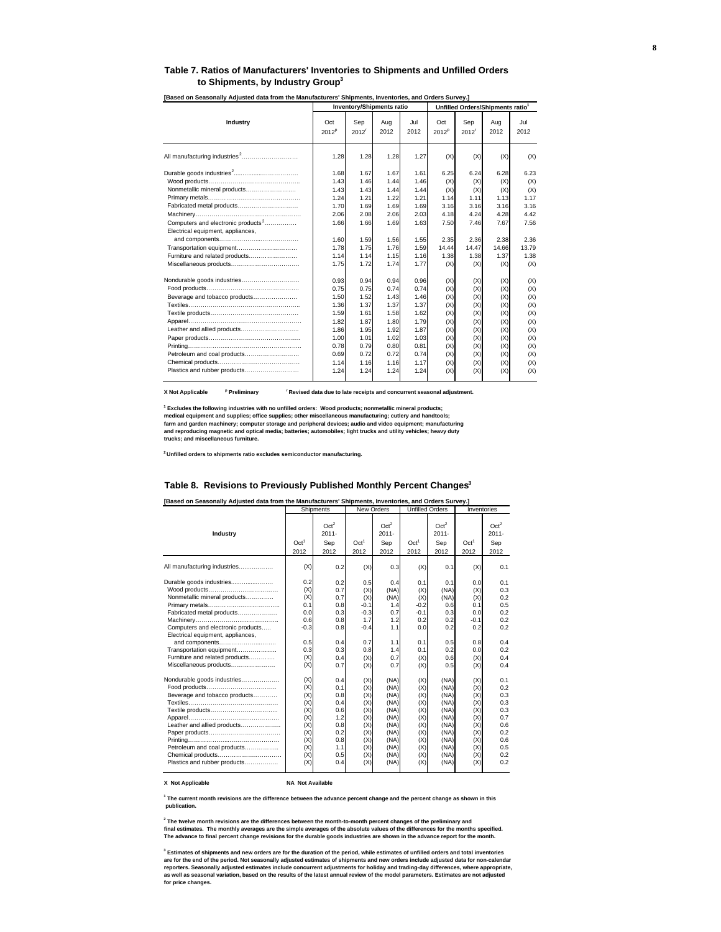#### **Table 7. Ratios of Manufacturers' Inventories to Shipments and Unfilled Orders to Shipments, by Industry Group3**

|                                                                                     |                          | <b>Inventory/Shipments ratio</b> |             |             |                          | Unfilled Orders/Shipments ratio1 |             |             |
|-------------------------------------------------------------------------------------|--------------------------|----------------------------------|-------------|-------------|--------------------------|----------------------------------|-------------|-------------|
| Industry                                                                            | Oct<br>2012 <sup>p</sup> | Sep<br>2012 <sup>r</sup>         | Aug<br>2012 | Jul<br>2012 | Oct<br>2012 <sup>p</sup> | Sep<br>2012 <sup>r</sup>         | Aug<br>2012 | Jul<br>2012 |
| All manufacturing industries <sup>2</sup>                                           | 1.28                     | 1.28                             | 1.28        | 1.27        | (X)                      | (X)                              | (X)         | (X)         |
|                                                                                     | 1.68                     | 1.67                             | 1.67        | 1.61        | 6.25                     | 6.24                             | 6.28        | 6.23        |
|                                                                                     | 1.43                     | 1.46                             | 1.44        | 1.46        | (X)                      | (X)                              | (X)         | (X)         |
| Nonmetallic mineral products                                                        | 1.43                     | 1.43                             | 1.44        | 1.44        | (X)                      | (X)                              | (X)         | (X)         |
|                                                                                     | 1.24                     | 1.21                             | 1.22        | 1.21        | 1.14                     | 1.11                             | 1.13        | 1.17        |
| Fabricated metal products                                                           | 1.70                     | 1.69                             | 1.69        | 1.69        | 3.16                     | 3.16                             | 3.16        | 3.16        |
|                                                                                     | 2.06                     | 2.08                             | 2.06        | 2.03        | 4.18                     | 4.24                             | 4.28        | 4.42        |
| Computers and electronic products <sup>2</sup><br>Electrical equipment, appliances, | 1.66                     | 1.66                             | 1.69        | 1.63        | 7.50                     | 7.46                             | 7.67        | 7.56        |
|                                                                                     | 1.60                     | 1.59                             | 1.56        | 1.55        | 2.35                     | 2.36                             | 2.38        | 2.36        |
| Transportation equipment                                                            | 1.78                     | 1.75                             | 1.76        | 1.59        | 14.44                    | 14.47                            | 14.66       | 13.79       |
| Furniture and related products                                                      | 1.14                     | 1.14                             | 1.15        | 1.16        | 1.38                     | 1.38                             | 1.37        | 1.38        |
|                                                                                     | 1.75                     | 1.72                             | 1.74        | 1.77        | (X)                      | (X)                              | (X)         | (X)         |
|                                                                                     | 0.93                     | 0.94                             | 0.94        | 0.96        | (X)                      | (X)                              | (X)         | (X)         |
|                                                                                     | 0.75                     | 0.75                             | 0.74        | 0.74        | (X)                      | (X)                              | (X)         | (X)         |
| Beverage and tobacco products                                                       | 1.50                     | 1.52                             | 1.43        | 1.46        | (X)                      | (X)                              | (X)         | (X)         |
|                                                                                     | 1.36                     | 1.37                             | 1.37        | 1.37        | (X)                      | (X)                              | (X)         | (X)         |
|                                                                                     | 1.59                     | 1.61                             | 1.58        | 1.62        | (X)                      | (X)                              | (X)         | (X)         |
|                                                                                     | 1.82                     | 1.87                             | 1.80        | 1.79        | (X)                      | (X)                              | (X)         | (X)         |
| Leather and allied products                                                         | 1.86                     | 1.95                             | 1.92        | 1.87        | (X)                      | (X)                              | (X)         | (X)         |
|                                                                                     | 1.00                     | 1.01                             | 1.02        | 1.03        | (X)                      | (X)                              | (X)         | (X)         |
|                                                                                     | 0.78                     | 0.79                             | 0.80        | 0.81        | (X)                      | (X)                              | (X)         | (X)         |
| Petroleum and coal products                                                         | 0.69                     | 0.72                             | 0.72        | 0.74        | (X)                      | (X)                              | (X)         | (X)         |
|                                                                                     | 1.14                     | 1.16                             | 1.16        | 1.17        | (X)                      | (X)                              | (X)         | (X)         |
| Plastics and rubber products                                                        | 1.24                     | 1.24                             | 1.24        | 1.24        | (X)                      | (X)                              | (X)         | (X)         |

**[Based on Seasonally Adjusted data from the Manufacturers' Shipments, Inventories, and Orders Survey.]** 

**X Not Applicable <sup>p</sup>** <sup>r</sup> Revised data due to late receipts and concurrent seasonal adjustment.

**1 Excludes the following industries with no unfilled orders: Wood products; nonmetallic mineral products;**  medical equipment and supplies; office supplies; other miscellaneous manufacturing; cutlery and handtools;<br>farm and garden machinery; computer storage and peripheral devices; audio and video equipment; manufacturing **and reproducing magnetic and optical media; batteries; automobiles; light trucks and utility vehicles; heavy duty trucks; and miscellaneous furniture.**

**2 Unfilled orders to shipments ratio excludes semiconductor manufacturing.**

#### **Table 8. Revisions to Previously Published Monthly Percent Changes<sup>3</sup>**

**[Based on Seasonally Adjusted data from the Manufacturers' Shipments, Inventories, and Orders Survey.]** 

|                                                                                                                                                                                                                                                                           |                                                                                  | Shipments                                                                        | <b>New Orders</b>                                                                  |                                                                                              |                                                                                  | <b>Unfilled Orders</b>                                                                       | Inventories                                                                      |                                                                                  |
|---------------------------------------------------------------------------------------------------------------------------------------------------------------------------------------------------------------------------------------------------------------------------|----------------------------------------------------------------------------------|----------------------------------------------------------------------------------|------------------------------------------------------------------------------------|----------------------------------------------------------------------------------------------|----------------------------------------------------------------------------------|----------------------------------------------------------------------------------------------|----------------------------------------------------------------------------------|----------------------------------------------------------------------------------|
| Industry                                                                                                                                                                                                                                                                  | Oct <sup>1</sup><br>2012                                                         | Oct <sup>2</sup><br>$2011 -$<br>Sep<br>2012                                      | Oct <sup>1</sup><br>2012                                                           | Oct <sup>2</sup><br>$2011 -$<br>Sep<br>2012                                                  | Oct <sup>1</sup><br>2012                                                         | Oct <sup>2</sup><br>$2011 -$<br>Sep<br>2012                                                  | Oct <sup>1</sup><br>2012                                                         | Oct <sup>2</sup><br>$2011 -$<br>Sep<br>2012                                      |
| All manufacturing industries                                                                                                                                                                                                                                              | (X)                                                                              | 0.2                                                                              | (X)                                                                                | 0.3                                                                                          | (X)                                                                              | 0.1                                                                                          | (X)                                                                              | 0.1                                                                              |
| Durable goods industries<br>Nonmetallic mineral products<br>Fabricated metal products<br>Computers and electronic products<br>Electrical equipment, appliances,<br>and components<br>Transportation equipment<br>Furniture and related products<br>Miscellaneous products | 0.2<br>(X)<br>(X)<br>0.1<br>0.0<br>0.6<br>$-0.3$<br>0.5<br>0.3<br>(X)<br>(X)     | 0.2<br>0.7<br>0.7<br>0.8<br>0.3<br>0.8<br>0.8<br>0.4<br>0.3<br>0.4<br>0.7        | 0.5<br>(X)<br>(X)<br>$-0.1$<br>$-0.3$<br>1.7<br>$-0.4$<br>0.7<br>0.8<br>(X)<br>(X) | 0.4<br>(NA)<br>(NA)<br>1.4<br>0.7<br>1.2<br>1.1<br>1.1<br>1.4<br>0.7<br>0.7                  | 0.1<br>(X)<br>(X)<br>$-0.2$<br>$-0.1$<br>0.2<br>0.0<br>0.1<br>0.1<br>(X)<br>(X)  | 0.1<br>(NA)<br>(NA)<br>0.6<br>0.3<br>0.2<br>0.2<br>0.5<br>0.2<br>0.6<br>0.5                  | 0.0<br>(X)<br>(X)<br>0.1<br>0.0<br>$-0.1$<br>0.2<br>0.8<br>0.0<br>(X)<br>(X)     | 0.1<br>0.3<br>0.2<br>0.5<br>0.2<br>0.2<br>0.2<br>0.4<br>0.2<br>0.4<br>0.4        |
| Nondurable goods industries<br>Beverage and tobacco products<br>Leather and allied products<br>Petroleum and coal products<br>Chemical products<br>Plastics and rubber products                                                                                           | (X)<br>(X)<br>(X)<br>(X)<br>(X)<br>(X)<br>(X)<br>(X)<br>(X)<br>(X)<br>(X)<br>(X) | 0.4<br>0.1<br>0.8<br>0.4<br>0.6<br>1.2<br>0.8<br>0.2<br>0.8<br>1.1<br>0.5<br>0.4 | (X)<br>(X)<br>(X)<br>(X)<br>(X)<br>(X)<br>(X)<br>(X)<br>(X)<br>(X)<br>(X)<br>(X)   | (NA)<br>(NA)<br>(NA)<br>(NA)<br>(NA)<br>(NA)<br>(NA)<br>(NA)<br>(NA)<br>(NA)<br>(NA)<br>(NA) | (X)<br>(X)<br>(X)<br>(X)<br>(X)<br>(X)<br>(X)<br>(X)<br>(X)<br>(X)<br>(X)<br>(X) | (NA)<br>(NA)<br>(NA)<br>(NA)<br>(NA)<br>(NA)<br>(NA)<br>(NA)<br>(NA)<br>(NA)<br>(NA)<br>(NA) | (X)<br>(X)<br>(X)<br>(X)<br>(X)<br>(X)<br>(X)<br>(X)<br>(X)<br>(X)<br>(X)<br>(X) | 0.1<br>0.2<br>0.3<br>0.3<br>0.3<br>0.7<br>0.6<br>0.2<br>0.6<br>0.5<br>0.2<br>0.2 |

**X** Not Applicable **NA Not Available** 

**1 The current month revisions are the difference between the advance percent change and the percent change as shown in this publication.**

**2 The twelve month revisions are the differences between the month-to-month percent changes of the preliminary and** final estimates. The monthly averages are the simple averages of the absolute values of the differences for the months specified.<br>The advance to final percent change revisions for the durable goods industries are shown in

**3 Estimates of shipments and new orders are for the duration of the period, while estimates of unfilled orders and total inventories**  are for the end of the period. Not seasonally adjusted estimates of shipments and new orders include adjusted data for non-calendar<br>reporters. Seasonally adjusted estimates include concurrent adjustments for holiday and tr **as well as seasonal variation, based on the results of the latest annual review of the model parameters. Estimates are not adjusted for price changes.**